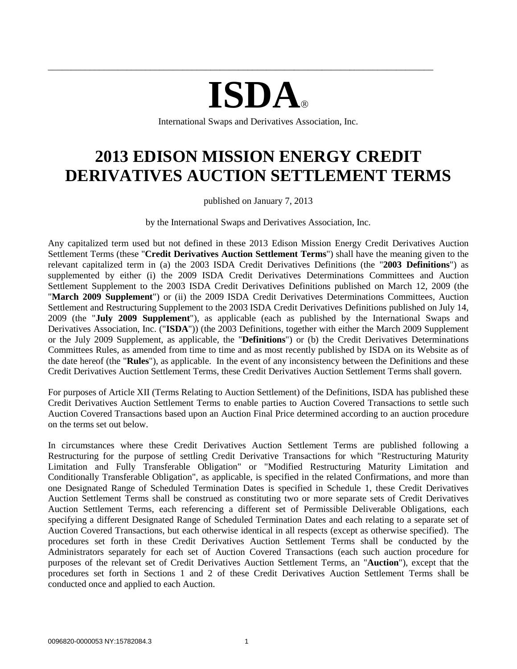# **ISDA**

\_\_\_\_\_\_\_\_\_\_\_\_\_\_\_\_\_\_\_\_\_\_\_\_\_\_\_\_\_\_\_\_\_\_\_\_\_\_\_\_\_\_\_\_\_\_\_\_\_\_\_\_\_\_\_\_\_\_\_\_\_\_\_\_\_\_\_\_\_\_\_\_\_\_\_\_\_\_\_\_\_\_\_

International Swaps and Derivatives Association, Inc.

# **2013 EDISON MISSION ENERGY CREDIT DERIVATIVES AUCTION SETTLEMENT TERMS**

published on January 7, 2013

by the International Swaps and Derivatives Association, Inc.

Any capitalized term used but not defined in these 2013 Edison Mission Energy Credit Derivatives Auction Settlement Terms (these "**Credit Derivatives Auction Settlement Terms**") shall have the meaning given to the relevant capitalized term in (a) the 2003 ISDA Credit Derivatives Definitions (the "**2003 Definitions**") as supplemented by either (i) the 2009 ISDA Credit Derivatives Determinations Committees and Auction Settlement Supplement to the 2003 ISDA Credit Derivatives Definitions published on March 12, 2009 (the "**March 2009 Supplement**") or (ii) the 2009 ISDA Credit Derivatives Determinations Committees, Auction Settlement and Restructuring Supplement to the 2003 ISDA Credit Derivatives Definitions published on July 14, 2009 (the "**July 2009 Supplement**"), as applicable (each as published by the International Swaps and Derivatives Association, Inc. ("**ISDA**")) (the 2003 Definitions, together with either the March 2009 Supplement or the July 2009 Supplement, as applicable, the "**Definitions**") or (b) the Credit Derivatives Determinations Committees Rules, as amended from time to time and as most recently published by ISDA on its Website as of the date hereof (the "**Rules**"), as applicable. In the event of any inconsistency between the Definitions and these Credit Derivatives Auction Settlement Terms, these Credit Derivatives Auction Settlement Terms shall govern.

For purposes of Article XII (Terms Relating to Auction Settlement) of the Definitions, ISDA has published these Credit Derivatives Auction Settlement Terms to enable parties to Auction Covered Transactions to settle such Auction Covered Transactions based upon an Auction Final Price determined according to an auction procedure on the terms set out below.

In circumstances where these Credit Derivatives Auction Settlement Terms are published following a Restructuring for the purpose of settling Credit Derivative Transactions for which "Restructuring Maturity Limitation and Fully Transferable Obligation" or "Modified Restructuring Maturity Limitation and Conditionally Transferable Obligation", as applicable, is specified in the related Confirmations, and more than one Designated Range of Scheduled Termination Dates is specified in Schedule 1, these Credit Derivatives Auction Settlement Terms shall be construed as constituting two or more separate sets of Credit Derivatives Auction Settlement Terms, each referencing a different set of Permissible Deliverable Obligations, each specifying a different Designated Range of Scheduled Termination Dates and each relating to a separate set of Auction Covered Transactions, but each otherwise identical in all respects (except as otherwise specified). The procedures set forth in these Credit Derivatives Auction Settlement Terms shall be conducted by the Administrators separately for each set of Auction Covered Transactions (each such auction procedure for purposes of the relevant set of Credit Derivatives Auction Settlement Terms, an "**Auction**"), except that the procedures set forth in Sections [1](#page-1-0) and [2](#page-1-1) of these Credit Derivatives Auction Settlement Terms shall be conducted once and applied to each Auction.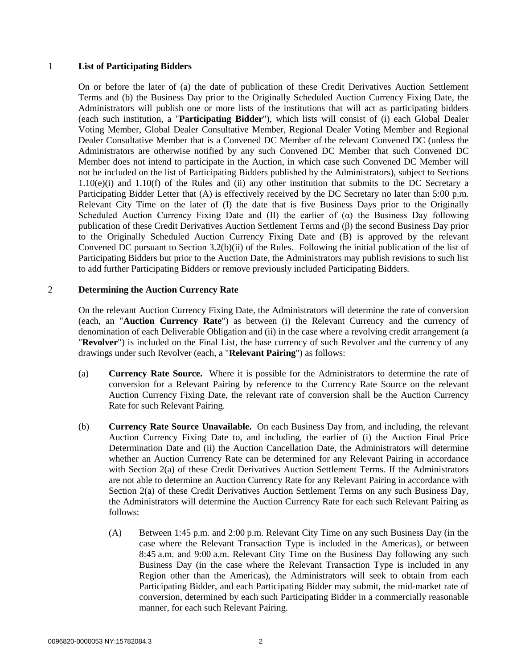#### <span id="page-1-0"></span>1 **List of Participating Bidders**

On or before the later of (a) the date of publication of these Credit Derivatives Auction Settlement Terms and (b) the Business Day prior to the Originally Scheduled Auction Currency Fixing Date, the Administrators will publish one or more lists of the institutions that will act as participating bidders (each such institution, a "**Participating Bidder**"), which lists will consist of (i) each Global Dealer Voting Member, Global Dealer Consultative Member, Regional Dealer Voting Member and Regional Dealer Consultative Member that is a Convened DC Member of the relevant Convened DC (unless the Administrators are otherwise notified by any such Convened DC Member that such Convened DC Member does not intend to participate in the Auction, in which case such Convened DC Member will not be included on the list of Participating Bidders published by the Administrators), subject to Sections 1.10(e)(i) and 1.10(f) of the Rules and (ii) any other institution that submits to the DC Secretary a Participating Bidder Letter that (A) is effectively received by the DC Secretary no later than 5:00 p.m. Relevant City Time on the later of (I) the date that is five Business Days prior to the Originally Scheduled Auction Currency Fixing Date and (II) the earlier of  $(\alpha)$  the Business Day following publication of these Credit Derivatives Auction Settlement Terms and (β) the second Business Day prior to the Originally Scheduled Auction Currency Fixing Date and (B) is approved by the relevant Convened DC pursuant to Section 3.2(b)(ii) of the Rules. Following the initial publication of the list of Participating Bidders but prior to the Auction Date, the Administrators may publish revisions to such list to add further Participating Bidders or remove previously included Participating Bidders.

#### <span id="page-1-1"></span>2 **Determining the Auction Currency Rate**

On the relevant Auction Currency Fixing Date, the Administrators will determine the rate of conversion (each, an "**Auction Currency Rate**") as between (i) the Relevant Currency and the currency of denomination of each Deliverable Obligation and (ii) in the case where a revolving credit arrangement (a "**Revolver**") is included on the Final List, the base currency of such Revolver and the currency of any drawings under such Revolver (each, a "**Relevant Pairing**") as follows:

- <span id="page-1-2"></span>(a) **Currency Rate Source.** Where it is possible for the Administrators to determine the rate of conversion for a Relevant Pairing by reference to the Currency Rate Source on the relevant Auction Currency Fixing Date, the relevant rate of conversion shall be the Auction Currency Rate for such Relevant Pairing.
- <span id="page-1-3"></span>(b) **Currency Rate Source Unavailable.** On each Business Day from, and including, the relevant Auction Currency Fixing Date to, and including, the earlier of (i) the Auction Final Price Determination Date and (ii) the Auction Cancellation Date, the Administrators will determine whether an Auction Currency Rate can be determined for any Relevant Pairing in accordance with Section [2\(a\)](#page-1-2) of these Credit Derivatives Auction Settlement Terms. If the Administrators are not able to determine an Auction Currency Rate for any Relevant Pairing in accordance with Section [2\(a\)](#page-1-2) of these Credit Derivatives Auction Settlement Terms on any such Business Day, the Administrators will determine the Auction Currency Rate for each such Relevant Pairing as follows:
	- (A) Between 1:45 p.m. and 2:00 p.m. Relevant City Time on any such Business Day (in the case where the Relevant Transaction Type is included in the Americas), or between 8:45 a.m. and 9:00 a.m. Relevant City Time on the Business Day following any such Business Day (in the case where the Relevant Transaction Type is included in any Region other than the Americas), the Administrators will seek to obtain from each Participating Bidder, and each Participating Bidder may submit, the mid-market rate of conversion, determined by each such Participating Bidder in a commercially reasonable manner, for each such Relevant Pairing.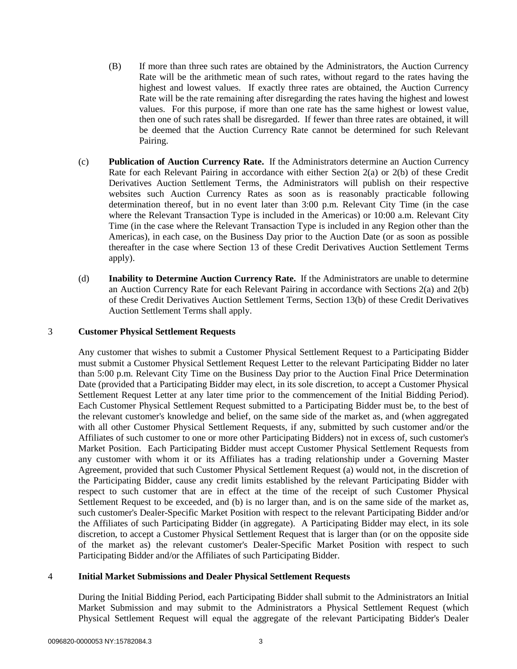- (B) If more than three such rates are obtained by the Administrators, the Auction Currency Rate will be the arithmetic mean of such rates, without regard to the rates having the highest and lowest values. If exactly three rates are obtained, the Auction Currency Rate will be the rate remaining after disregarding the rates having the highest and lowest values. For this purpose, if more than one rate has the same highest or lowest value, then one of such rates shall be disregarded. If fewer than three rates are obtained, it will be deemed that the Auction Currency Rate cannot be determined for such Relevant Pairing.
- (c) **Publication of Auction Currency Rate.** If the Administrators determine an Auction Currency Rate for each Relevant Pairing in accordance with either Section [2\(a\)](#page-1-2) or [2\(b\)](#page-1-3) of these Credit Derivatives Auction Settlement Terms, the Administrators will publish on their respective websites such Auction Currency Rates as soon as is reasonably practicable following determination thereof, but in no event later than 3:00 p.m. Relevant City Time (in the case where the Relevant Transaction Type is included in the Americas) or 10:00 a.m. Relevant City Time (in the case where the Relevant Transaction Type is included in any Region other than the Americas), in each case, on the Business Day prior to the Auction Date (or as soon as possible thereafter in the case where Section [13](#page-9-0) of these Credit Derivatives Auction Settlement Terms apply).
- (d) **Inability to Determine Auction Currency Rate.** If the Administrators are unable to determine an Auction Currency Rate for each Relevant Pairing in accordance with Sections [2\(a\)](#page-1-2) and [2\(b\)](#page-1-3) of these Credit Derivatives Auction Settlement Terms, Section [13\(b\)](#page-10-0) of these Credit Derivatives Auction Settlement Terms shall apply.

#### <span id="page-2-0"></span>3 **Customer Physical Settlement Requests**

Any customer that wishes to submit a Customer Physical Settlement Request to a Participating Bidder must submit a Customer Physical Settlement Request Letter to the relevant Participating Bidder no later than 5:00 p.m. Relevant City Time on the Business Day prior to the Auction Final Price Determination Date (provided that a Participating Bidder may elect, in its sole discretion, to accept a Customer Physical Settlement Request Letter at any later time prior to the commencement of the Initial Bidding Period). Each Customer Physical Settlement Request submitted to a Participating Bidder must be, to the best of the relevant customer's knowledge and belief, on the same side of the market as, and (when aggregated with all other Customer Physical Settlement Requests, if any, submitted by such customer and/or the Affiliates of such customer to one or more other Participating Bidders) not in excess of, such customer's Market Position. Each Participating Bidder must accept Customer Physical Settlement Requests from any customer with whom it or its Affiliates has a trading relationship under a Governing Master Agreement, provided that such Customer Physical Settlement Request (a) would not, in the discretion of the Participating Bidder, cause any credit limits established by the relevant Participating Bidder with respect to such customer that are in effect at the time of the receipt of such Customer Physical Settlement Request to be exceeded, and (b) is no larger than, and is on the same side of the market as, such customer's Dealer-Specific Market Position with respect to the relevant Participating Bidder and/or the Affiliates of such Participating Bidder (in aggregate). A Participating Bidder may elect, in its sole discretion, to accept a Customer Physical Settlement Request that is larger than (or on the opposite side of the market as) the relevant customer's Dealer-Specific Market Position with respect to such Participating Bidder and/or the Affiliates of such Participating Bidder.

#### <span id="page-2-1"></span>4 **Initial Market Submissions and Dealer Physical Settlement Requests**

During the Initial Bidding Period, each Participating Bidder shall submit to the Administrators an Initial Market Submission and may submit to the Administrators a Physical Settlement Request (which Physical Settlement Request will equal the aggregate of the relevant Participating Bidder's Dealer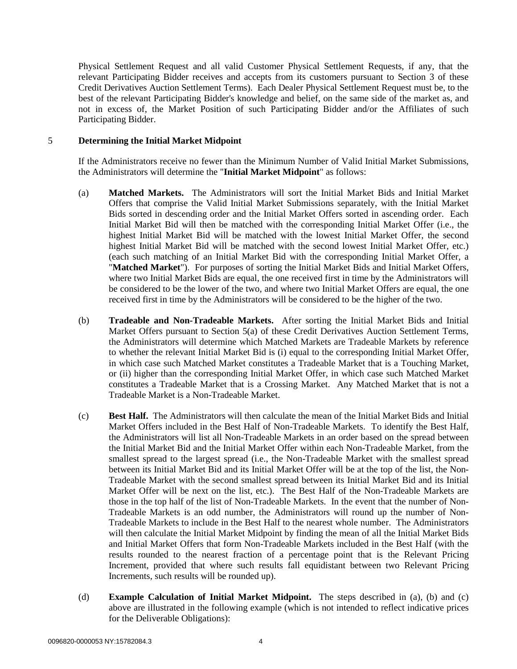Physical Settlement Request and all valid Customer Physical Settlement Requests, if any, that the relevant Participating Bidder receives and accepts from its customers pursuant to Section [3](#page-2-0) of these Credit Derivatives Auction Settlement Terms). Each Dealer Physical Settlement Request must be, to the best of the relevant Participating Bidder's knowledge and belief, on the same side of the market as, and not in excess of, the Market Position of such Participating Bidder and/or the Affiliates of such Participating Bidder.

#### <span id="page-3-3"></span>5 **Determining the Initial Market Midpoint**

If the Administrators receive no fewer than the Minimum Number of Valid Initial Market Submissions, the Administrators will determine the "**Initial Market Midpoint**" as follows:

- <span id="page-3-0"></span>(a) **Matched Markets.** The Administrators will sort the Initial Market Bids and Initial Market Offers that comprise the Valid Initial Market Submissions separately, with the Initial Market Bids sorted in descending order and the Initial Market Offers sorted in ascending order. Each Initial Market Bid will then be matched with the corresponding Initial Market Offer (i.e., the highest Initial Market Bid will be matched with the lowest Initial Market Offer, the second highest Initial Market Bid will be matched with the second lowest Initial Market Offer, etc.) (each such matching of an Initial Market Bid with the corresponding Initial Market Offer, a "**Matched Market**"). For purposes of sorting the Initial Market Bids and Initial Market Offers, where two Initial Market Bids are equal, the one received first in time by the Administrators will be considered to be the lower of the two, and where two Initial Market Offers are equal, the one received first in time by the Administrators will be considered to be the higher of the two.
- <span id="page-3-1"></span>(b) **Tradeable and Non-Tradeable Markets.** After sorting the Initial Market Bids and Initial Market Offers pursuant to Section [5\(a\)](#page-3-0) of these Credit Derivatives Auction Settlement Terms, the Administrators will determine which Matched Markets are Tradeable Markets by reference to whether the relevant Initial Market Bid is (i) equal to the corresponding Initial Market Offer, in which case such Matched Market constitutes a Tradeable Market that is a Touching Market, or (ii) higher than the corresponding Initial Market Offer, in which case such Matched Market constitutes a Tradeable Market that is a Crossing Market. Any Matched Market that is not a Tradeable Market is a Non-Tradeable Market.
- <span id="page-3-2"></span>(c) **Best Half.** The Administrators will then calculate the mean of the Initial Market Bids and Initial Market Offers included in the Best Half of Non-Tradeable Markets. To identify the Best Half, the Administrators will list all Non-Tradeable Markets in an order based on the spread between the Initial Market Bid and the Initial Market Offer within each Non-Tradeable Market, from the smallest spread to the largest spread (i.e., the Non-Tradeable Market with the smallest spread between its Initial Market Bid and its Initial Market Offer will be at the top of the list, the Non-Tradeable Market with the second smallest spread between its Initial Market Bid and its Initial Market Offer will be next on the list, etc.). The Best Half of the Non-Tradeable Markets are those in the top half of the list of Non-Tradeable Markets. In the event that the number of Non-Tradeable Markets is an odd number, the Administrators will round up the number of Non-Tradeable Markets to include in the Best Half to the nearest whole number. The Administrators will then calculate the Initial Market Midpoint by finding the mean of all the Initial Market Bids and Initial Market Offers that form Non-Tradeable Markets included in the Best Half (with the results rounded to the nearest fraction of a percentage point that is the Relevant Pricing Increment, provided that where such results fall equidistant between two Relevant Pricing Increments, such results will be rounded up).
- (d) **Example Calculation of Initial Market Midpoint.** The steps described in [\(a\),](#page-3-0) [\(b\)](#page-3-1) and [\(c\)](#page-3-2) above are illustrated in the following example (which is not intended to reflect indicative prices for the Deliverable Obligations):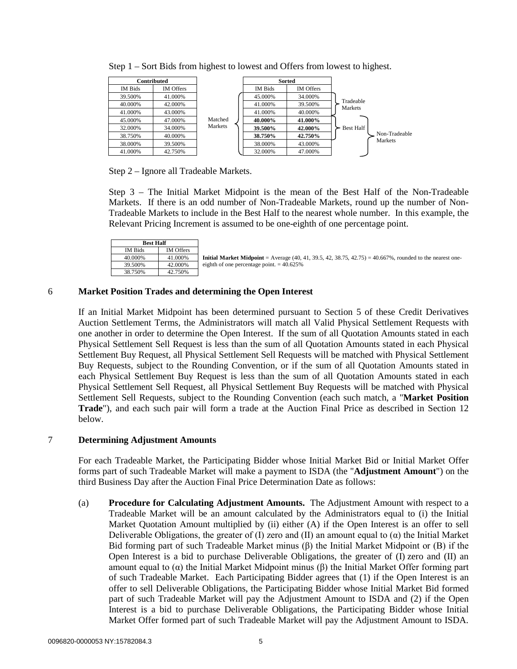| Contributed |                  |         |         | <b>Sorted</b>    |                      |
|-------------|------------------|---------|---------|------------------|----------------------|
| IM Bids     | <b>IM Offers</b> |         | IM Bids | <b>IM Offers</b> |                      |
| 39.500%     | 41.000%          |         | 45.000% | 34.000%          |                      |
| 40.000%     | 42.000%          |         | 41.000% | 39.500%          | Tradeable<br>Markets |
| 41.000%     | 43.000%          |         | 41.000% | 40.000%          |                      |
| 45.000%     | 47.000%          | Matched | 40.000% | 41.000%          |                      |
| 32.000%     | 34.000%          | Markets | 39.500% | 42.000%          | <b>Best Half</b>     |
| 38.750%     | 40.000%          |         | 38.750% | 42.750%          | Non-Tradeable        |
| 38.000%     | 39.500%          |         | 38.000% | 43.000%          | Markets              |
| 41.000%     | 42.750%          |         | 32.000% | 47.000%          |                      |

Step 1 – Sort Bids from highest to lowest and Offers from lowest to highest.

Step 2 – Ignore all Tradeable Markets.

Step 3 – The Initial Market Midpoint is the mean of the Best Half of the Non-Tradeable Markets. If there is an odd number of Non-Tradeable Markets, round up the number of Non-Tradeable Markets to include in the Best Half to the nearest whole number. In this example, the Relevant Pricing Increment is assumed to be one-eighth of one percentage point.

| <b>Best Half</b> |                  |  |
|------------------|------------------|--|
| <b>IM Bids</b>   | <b>IM Offers</b> |  |
| 40.000%          | 41.000%          |  |
| 39.500%          | 42.000%          |  |
| 38.750%          | 42.750%          |  |

**Initial Market Midpoint** = Average (40, 41, 39.5, 42, 38.75, 42.75) = 40.667%, rounded to the nearest oneeighth of one percentage point.  $= 40.625\%$ 

# <span id="page-4-1"></span>6 **Market Position Trades and determining the Open Interest**

If an Initial Market Midpoint has been determined pursuant to Section [5](#page-3-3) of these Credit Derivatives Auction Settlement Terms, the Administrators will match all Valid Physical Settlement Requests with one another in order to determine the Open Interest. If the sum of all Quotation Amounts stated in each Physical Settlement Sell Request is less than the sum of all Quotation Amounts stated in each Physical Settlement Buy Request, all Physical Settlement Sell Requests will be matched with Physical Settlement Buy Requests, subject to the Rounding Convention, or if the sum of all Quotation Amounts stated in each Physical Settlement Buy Request is less than the sum of all Quotation Amounts stated in each Physical Settlement Sell Request, all Physical Settlement Buy Requests will be matched with Physical Settlement Sell Requests, subject to the Rounding Convention (each such match, a "**Market Position Trade**"), and each such pair will form a trade at the Auction Final Price as described in Section [12](#page-7-0) below.

# <span id="page-4-2"></span>7 **Determining Adjustment Amounts**

For each Tradeable Market, the Participating Bidder whose Initial Market Bid or Initial Market Offer forms part of such Tradeable Market will make a payment to ISDA (the "**Adjustment Amount**") on the third Business Day after the Auction Final Price Determination Date as follows:

<span id="page-4-0"></span>(a) **Procedure for Calculating Adjustment Amounts.** The Adjustment Amount with respect to a Tradeable Market will be an amount calculated by the Administrators equal to (i) the Initial Market Quotation Amount multiplied by (ii) either (A) if the Open Interest is an offer to sell Deliverable Obligations, the greater of (I) zero and (II) an amount equal to ( $\alpha$ ) the Initial Market Bid forming part of such Tradeable Market minus (β) the Initial Market Midpoint or (B) if the Open Interest is a bid to purchase Deliverable Obligations, the greater of (I) zero and (II) an amount equal to (α) the Initial Market Midpoint minus (β) the Initial Market Offer forming part of such Tradeable Market. Each Participating Bidder agrees that (1) if the Open Interest is an offer to sell Deliverable Obligations, the Participating Bidder whose Initial Market Bid formed part of such Tradeable Market will pay the Adjustment Amount to ISDA and (2) if the Open Interest is a bid to purchase Deliverable Obligations, the Participating Bidder whose Initial Market Offer formed part of such Tradeable Market will pay the Adjustment Amount to ISDA.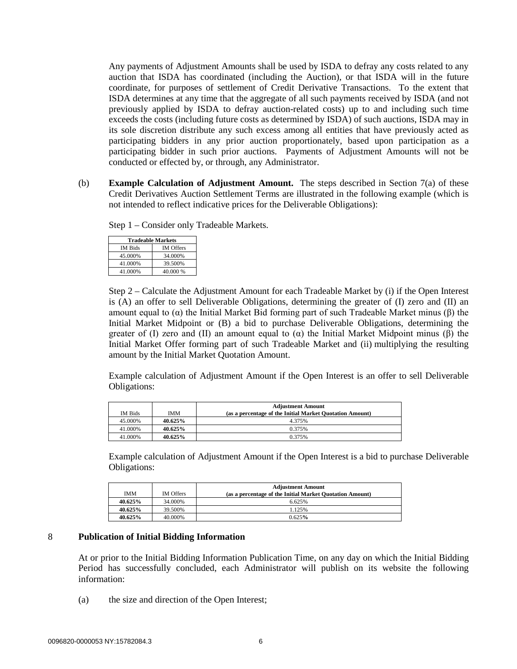Any payments of Adjustment Amounts shall be used by ISDA to defray any costs related to any auction that ISDA has coordinated (including the Auction), or that ISDA will in the future coordinate, for purposes of settlement of Credit Derivative Transactions. To the extent that ISDA determines at any time that the aggregate of all such payments received by ISDA (and not previously applied by ISDA to defray auction-related costs) up to and including such time exceeds the costs (including future costs as determined by ISDA) of such auctions, ISDA may in its sole discretion distribute any such excess among all entities that have previously acted as participating bidders in any prior auction proportionately, based upon participation as a participating bidder in such prior auctions. Payments of Adjustment Amounts will not be conducted or effected by, or through, any Administrator.

(b) **Example Calculation of Adjustment Amount.** The steps described in Section [7\(a\)](#page-4-0) of these Credit Derivatives Auction Settlement Terms are illustrated in the following example (which is not intended to reflect indicative prices for the Deliverable Obligations):

Step 1 – Consider only Tradeable Markets.

| <b>Tradeable Markets</b> |                  |  |  |
|--------------------------|------------------|--|--|
| <b>IM Bids</b>           | <b>IM Offers</b> |  |  |
| 45.000%                  | 34.000%          |  |  |
| 41.000%                  | 39.500%          |  |  |
| 41.000%                  | 40.000 %         |  |  |

Step 2 – Calculate the Adjustment Amount for each Tradeable Market by (i) if the Open Interest is (A) an offer to sell Deliverable Obligations, determining the greater of (I) zero and (II) an amount equal to (α) the Initial Market Bid forming part of such Tradeable Market minus (β) the Initial Market Midpoint or (B) a bid to purchase Deliverable Obligations, determining the greater of (I) zero and (II) an amount equal to (α) the Initial Market Midpoint minus (β) the Initial Market Offer forming part of such Tradeable Market and (ii) multiplying the resulting amount by the Initial Market Quotation Amount.

Example calculation of Adjustment Amount if the Open Interest is an offer to sell Deliverable Obligations:

| <b>IM Bids</b> | <b>IMM</b> | <b>Adjustment Amount</b><br>(as a percentage of the Initial Market Quotation Amount) |
|----------------|------------|--------------------------------------------------------------------------------------|
| 45.000%        | 40.625%    | 4.375%                                                                               |
| 41.000%        | 40.625%    | 0.375%                                                                               |
| 41.000%        | 40.625%    | 0.375%                                                                               |

Example calculation of Adjustment Amount if the Open Interest is a bid to purchase Deliverable Obligations:

|            |                  | <b>Adjustment Amount</b>                                 |
|------------|------------------|----------------------------------------------------------|
| <b>IMM</b> | <b>IM Offers</b> | (as a percentage of the Initial Market Quotation Amount) |
| 40.625%    | 34.000%          | 6.625%                                                   |
| 40.625%    | 39.500%          | 1.125%                                                   |
| 40.625%    | 40.000%          | 0.625%                                                   |

# <span id="page-5-0"></span>8 **Publication of Initial Bidding Information**

At or prior to the Initial Bidding Information Publication Time, on any day on which the Initial Bidding Period has successfully concluded, each Administrator will publish on its website the following information:

(a) the size and direction of the Open Interest;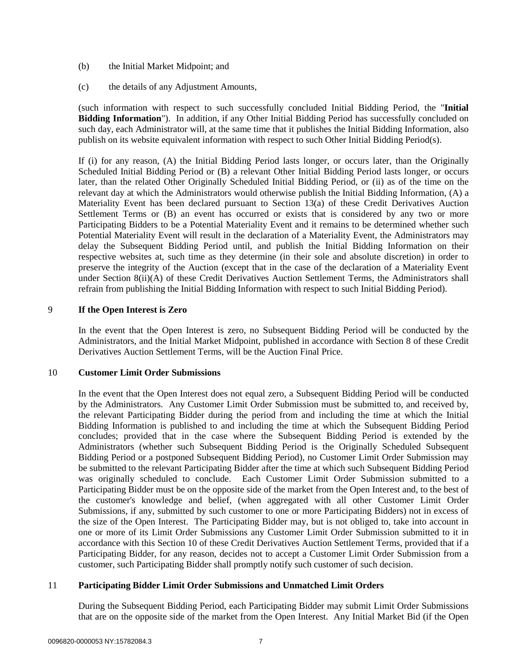- (b) the Initial Market Midpoint; and
- (c) the details of any Adjustment Amounts,

(such information with respect to such successfully concluded Initial Bidding Period, the "**Initial Bidding Information**"). In addition, if any Other Initial Bidding Period has successfully concluded on such day, each Administrator will, at the same time that it publishes the Initial Bidding Information, also publish on its website equivalent information with respect to such Other Initial Bidding Period(s).

If (i) for any reason, (A) the Initial Bidding Period lasts longer, or occurs later, than the Originally Scheduled Initial Bidding Period or (B) a relevant Other Initial Bidding Period lasts longer, or occurs later, than the related Other Originally Scheduled Initial Bidding Period, or (ii) as of the time on the relevant day at which the Administrators would otherwise publish the Initial Bidding Information, (A) a Materiality Event has been declared pursuant to Section [13\(a\)](#page-9-1) of these Credit Derivatives Auction Settlement Terms or (B) an event has occurred or exists that is considered by any two or more Participating Bidders to be a Potential Materiality Event and it remains to be determined whether such Potential Materiality Event will result in the declaration of a Materiality Event, the Administrators may delay the Subsequent Bidding Period until, and publish the Initial Bidding Information on their respective websites at, such time as they determine (in their sole and absolute discretion) in order to preserve the integrity of the Auction (except that in the case of the declaration of a Materiality Event under Section 8(ii)(A) of these Credit Derivatives Auction Settlement Terms, the Administrators shall refrain from publishing the Initial Bidding Information with respect to such Initial Bidding Period).

#### 9 **If the Open Interest is Zero**

In the event that the Open Interest is zero, no Subsequent Bidding Period will be conducted by the Administrators, and the Initial Market Midpoint, published in accordance with Section 8 of these Credit Derivatives Auction Settlement Terms, will be the Auction Final Price.

#### 10 **Customer Limit Order Submissions**

In the event that the Open Interest does not equal zero, a Subsequent Bidding Period will be conducted by the Administrators. Any Customer Limit Order Submission must be submitted to, and received by, the relevant Participating Bidder during the period from and including the time at which the Initial Bidding Information is published to and including the time at which the Subsequent Bidding Period concludes; provided that in the case where the Subsequent Bidding Period is extended by the Administrators (whether such Subsequent Bidding Period is the Originally Scheduled Subsequent Bidding Period or a postponed Subsequent Bidding Period), no Customer Limit Order Submission may be submitted to the relevant Participating Bidder after the time at which such Subsequent Bidding Period was originally scheduled to conclude. Each Customer Limit Order Submission submitted to a Participating Bidder must be on the opposite side of the market from the Open Interest and, to the best of the customer's knowledge and belief, (when aggregated with all other Customer Limit Order Submissions, if any, submitted by such customer to one or more Participating Bidders) not in excess of the size of the Open Interest. The Participating Bidder may, but is not obliged to, take into account in one or more of its Limit Order Submissions any Customer Limit Order Submission submitted to it in accordance with this Section 10 of these Credit Derivatives Auction Settlement Terms, provided that if a Participating Bidder, for any reason, decides not to accept a Customer Limit Order Submission from a customer, such Participating Bidder shall promptly notify such customer of such decision.

# <span id="page-6-0"></span>11 **Participating Bidder Limit Order Submissions and Unmatched Limit Orders**

During the Subsequent Bidding Period, each Participating Bidder may submit Limit Order Submissions that are on the opposite side of the market from the Open Interest. Any Initial Market Bid (if the Open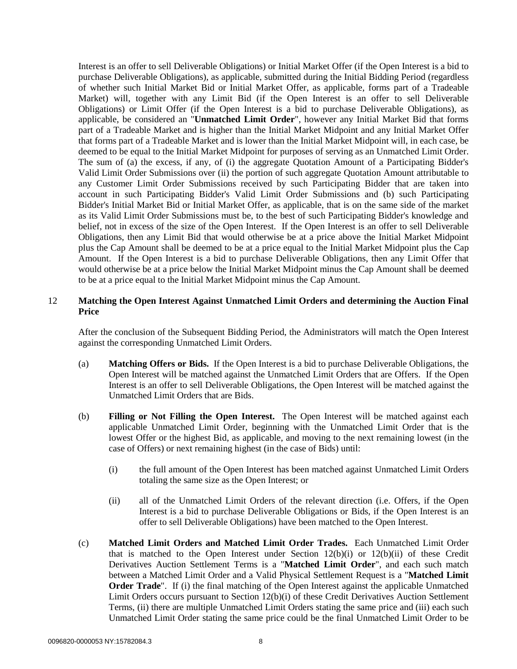Interest is an offer to sell Deliverable Obligations) or Initial Market Offer (if the Open Interest is a bid to purchase Deliverable Obligations), as applicable, submitted during the Initial Bidding Period (regardless of whether such Initial Market Bid or Initial Market Offer, as applicable, forms part of a Tradeable Market) will, together with any Limit Bid (if the Open Interest is an offer to sell Deliverable Obligations) or Limit Offer (if the Open Interest is a bid to purchase Deliverable Obligations), as applicable, be considered an "**Unmatched Limit Order**", however any Initial Market Bid that forms part of a Tradeable Market and is higher than the Initial Market Midpoint and any Initial Market Offer that forms part of a Tradeable Market and is lower than the Initial Market Midpoint will, in each case, be deemed to be equal to the Initial Market Midpoint for purposes of serving as an Unmatched Limit Order. The sum of (a) the excess, if any, of (i) the aggregate Quotation Amount of a Participating Bidder's Valid Limit Order Submissions over (ii) the portion of such aggregate Quotation Amount attributable to any Customer Limit Order Submissions received by such Participating Bidder that are taken into account in such Participating Bidder's Valid Limit Order Submissions and (b) such Participating Bidder's Initial Market Bid or Initial Market Offer, as applicable, that is on the same side of the market as its Valid Limit Order Submissions must be, to the best of such Participating Bidder's knowledge and belief, not in excess of the size of the Open Interest. If the Open Interest is an offer to sell Deliverable Obligations, then any Limit Bid that would otherwise be at a price above the Initial Market Midpoint plus the Cap Amount shall be deemed to be at a price equal to the Initial Market Midpoint plus the Cap Amount. If the Open Interest is a bid to purchase Deliverable Obligations, then any Limit Offer that would otherwise be at a price below the Initial Market Midpoint minus the Cap Amount shall be deemed to be at a price equal to the Initial Market Midpoint minus the Cap Amount.

# <span id="page-7-0"></span>12 **Matching the Open Interest Against Unmatched Limit Orders and determining the Auction Final Price**

After the conclusion of the Subsequent Bidding Period, the Administrators will match the Open Interest against the corresponding Unmatched Limit Orders.

- (a) **Matching Offers or Bids.** If the Open Interest is a bid to purchase Deliverable Obligations, the Open Interest will be matched against the Unmatched Limit Orders that are Offers. If the Open Interest is an offer to sell Deliverable Obligations, the Open Interest will be matched against the Unmatched Limit Orders that are Bids.
- <span id="page-7-3"></span><span id="page-7-1"></span>(b) **Filling or Not Filling the Open Interest.** The Open Interest will be matched against each applicable Unmatched Limit Order, beginning with the Unmatched Limit Order that is the lowest Offer or the highest Bid, as applicable, and moving to the next remaining lowest (in the case of Offers) or next remaining highest (in the case of Bids) until:
	- (i) the full amount of the Open Interest has been matched against Unmatched Limit Orders totaling the same size as the Open Interest; or
	- (ii) all of the Unmatched Limit Orders of the relevant direction (i.e. Offers, if the Open Interest is a bid to purchase Deliverable Obligations or Bids, if the Open Interest is an offer to sell Deliverable Obligations) have been matched to the Open Interest.
- <span id="page-7-4"></span><span id="page-7-2"></span>(c) **Matched Limit Orders and Matched Limit Order Trades.** Each Unmatched Limit Order that is matched to the Open Interest under Section  $12(b)(i)$  or  $12(b)(ii)$  $12(b)(ii)$  of these Credit Derivatives Auction Settlement Terms is a "**Matched Limit Order**", and each such match between a Matched Limit Order and a Valid Physical Settlement Request is a "**Matched Limit Order Trade**". If (i) the final matching of the Open Interest against the applicable Unmatched Limit Orders occurs pursuant to Section [12\(b\)\(i\)](#page-7-1) of these Credit Derivatives Auction Settlement Terms, (ii) there are multiple Unmatched Limit Orders stating the same price and (iii) each such Unmatched Limit Order stating the same price could be the final Unmatched Limit Order to be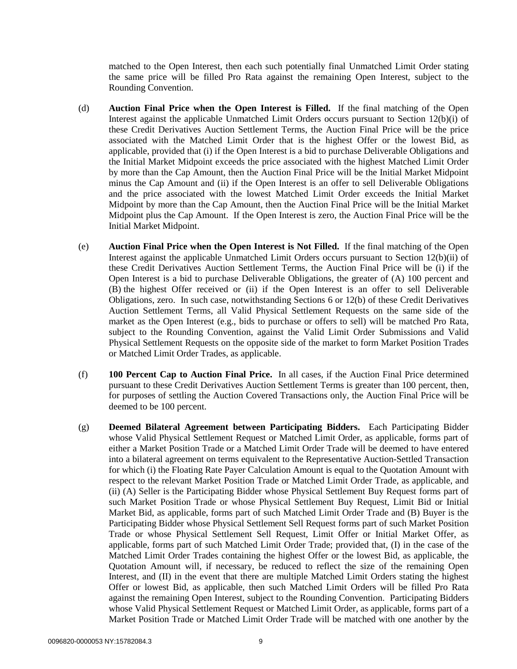matched to the Open Interest, then each such potentially final Unmatched Limit Order stating the same price will be filled Pro Rata against the remaining Open Interest, subject to the Rounding Convention.

- (d) **Auction Final Price when the Open Interest is Filled.** If the final matching of the Open Interest against the applicable Unmatched Limit Orders occurs pursuant to Section [12\(b\)\(i\)](#page-7-1) of these Credit Derivatives Auction Settlement Terms, the Auction Final Price will be the price associated with the Matched Limit Order that is the highest Offer or the lowest Bid, as applicable, provided that (i) if the Open Interest is a bid to purchase Deliverable Obligations and the Initial Market Midpoint exceeds the price associated with the highest Matched Limit Order by more than the Cap Amount, then the Auction Final Price will be the Initial Market Midpoint minus the Cap Amount and (ii) if the Open Interest is an offer to sell Deliverable Obligations and the price associated with the lowest Matched Limit Order exceeds the Initial Market Midpoint by more than the Cap Amount, then the Auction Final Price will be the Initial Market Midpoint plus the Cap Amount. If the Open Interest is zero, the Auction Final Price will be the Initial Market Midpoint.
- (e) **Auction Final Price when the Open Interest is Not Filled.** If the final matching of the Open Interest against the applicable Unmatched Limit Orders occurs pursuant to Section [12\(b\)\(ii\)](#page-7-2) of these Credit Derivatives Auction Settlement Terms, the Auction Final Price will be (i) if the Open Interest is a bid to purchase Deliverable Obligations, the greater of (A) 100 percent and (B) the highest Offer received or (ii) if the Open Interest is an offer to sell Deliverable Obligations, zero. In such case, notwithstanding Sections [6](#page-4-1) or [12\(b\)](#page-7-3) of these Credit Derivatives Auction Settlement Terms, all Valid Physical Settlement Requests on the same side of the market as the Open Interest (e.g., bids to purchase or offers to sell) will be matched Pro Rata, subject to the Rounding Convention, against the Valid Limit Order Submissions and Valid Physical Settlement Requests on the opposite side of the market to form Market Position Trades or Matched Limit Order Trades, as applicable.
- (f) **100 Percent Cap to Auction Final Price.** In all cases, if the Auction Final Price determined pursuant to these Credit Derivatives Auction Settlement Terms is greater than 100 percent, then, for purposes of settling the Auction Covered Transactions only, the Auction Final Price will be deemed to be 100 percent.
- (g) **Deemed Bilateral Agreement between Participating Bidders.** Each Participating Bidder whose Valid Physical Settlement Request or Matched Limit Order, as applicable, forms part of either a Market Position Trade or a Matched Limit Order Trade will be deemed to have entered into a bilateral agreement on terms equivalent to the Representative Auction-Settled Transaction for which (i) the Floating Rate Payer Calculation Amount is equal to the Quotation Amount with respect to the relevant Market Position Trade or Matched Limit Order Trade, as applicable, and (ii) (A) Seller is the Participating Bidder whose Physical Settlement Buy Request forms part of such Market Position Trade or whose Physical Settlement Buy Request, Limit Bid or Initial Market Bid, as applicable, forms part of such Matched Limit Order Trade and (B) Buyer is the Participating Bidder whose Physical Settlement Sell Request forms part of such Market Position Trade or whose Physical Settlement Sell Request, Limit Offer or Initial Market Offer, as applicable, forms part of such Matched Limit Order Trade; provided that, (I) in the case of the Matched Limit Order Trades containing the highest Offer or the lowest Bid, as applicable, the Quotation Amount will, if necessary, be reduced to reflect the size of the remaining Open Interest, and (II) in the event that there are multiple Matched Limit Orders stating the highest Offer or lowest Bid, as applicable, then such Matched Limit Orders will be filled Pro Rata against the remaining Open Interest, subject to the Rounding Convention. Participating Bidders whose Valid Physical Settlement Request or Matched Limit Order, as applicable, forms part of a Market Position Trade or Matched Limit Order Trade will be matched with one another by the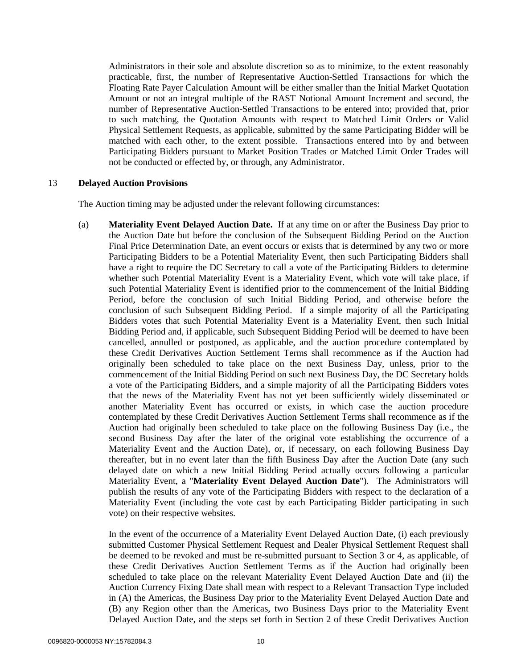Administrators in their sole and absolute discretion so as to minimize, to the extent reasonably practicable, first, the number of Representative Auction-Settled Transactions for which the Floating Rate Payer Calculation Amount will be either smaller than the Initial Market Quotation Amount or not an integral multiple of the RAST Notional Amount Increment and second, the number of Representative Auction-Settled Transactions to be entered into; provided that, prior to such matching, the Quotation Amounts with respect to Matched Limit Orders or Valid Physical Settlement Requests, as applicable, submitted by the same Participating Bidder will be matched with each other, to the extent possible. Transactions entered into by and between Participating Bidders pursuant to Market Position Trades or Matched Limit Order Trades will not be conducted or effected by, or through, any Administrator.

#### <span id="page-9-1"></span><span id="page-9-0"></span>13 **Delayed Auction Provisions**

The Auction timing may be adjusted under the relevant following circumstances:

(a) **Materiality Event Delayed Auction Date.** If at any time on or after the Business Day prior to the Auction Date but before the conclusion of the Subsequent Bidding Period on the Auction Final Price Determination Date, an event occurs or exists that is determined by any two or more Participating Bidders to be a Potential Materiality Event, then such Participating Bidders shall have a right to require the DC Secretary to call a vote of the Participating Bidders to determine whether such Potential Materiality Event is a Materiality Event, which vote will take place, if such Potential Materiality Event is identified prior to the commencement of the Initial Bidding Period, before the conclusion of such Initial Bidding Period, and otherwise before the conclusion of such Subsequent Bidding Period. If a simple majority of all the Participating Bidders votes that such Potential Materiality Event is a Materiality Event, then such Initial Bidding Period and, if applicable, such Subsequent Bidding Period will be deemed to have been cancelled, annulled or postponed, as applicable, and the auction procedure contemplated by these Credit Derivatives Auction Settlement Terms shall recommence as if the Auction had originally been scheduled to take place on the next Business Day, unless, prior to the commencement of the Initial Bidding Period on such next Business Day, the DC Secretary holds a vote of the Participating Bidders, and a simple majority of all the Participating Bidders votes that the news of the Materiality Event has not yet been sufficiently widely disseminated or another Materiality Event has occurred or exists, in which case the auction procedure contemplated by these Credit Derivatives Auction Settlement Terms shall recommence as if the Auction had originally been scheduled to take place on the following Business Day (i.e., the second Business Day after the later of the original vote establishing the occurrence of a Materiality Event and the Auction Date), or, if necessary, on each following Business Day thereafter, but in no event later than the fifth Business Day after the Auction Date (any such delayed date on which a new Initial Bidding Period actually occurs following a particular Materiality Event, a "**Materiality Event Delayed Auction Date**"). The Administrators will publish the results of any vote of the Participating Bidders with respect to the declaration of a Materiality Event (including the vote cast by each Participating Bidder participating in such vote) on their respective websites.

In the event of the occurrence of a Materiality Event Delayed Auction Date, (i) each previously submitted Customer Physical Settlement Request and Dealer Physical Settlement Request shall be deemed to be revoked and must be re-submitted pursuant to Section [3](#page-2-0) or [4,](#page-2-1) as applicable, of these Credit Derivatives Auction Settlement Terms as if the Auction had originally been scheduled to take place on the relevant Materiality Event Delayed Auction Date and (ii) the Auction Currency Fixing Date shall mean with respect to a Relevant Transaction Type included in (A) the Americas, the Business Day prior to the Materiality Event Delayed Auction Date and (B) any Region other than the Americas, two Business Days prior to the Materiality Event Delayed Auction Date, and the steps set forth in Section [2](#page-1-1) of these Credit Derivatives Auction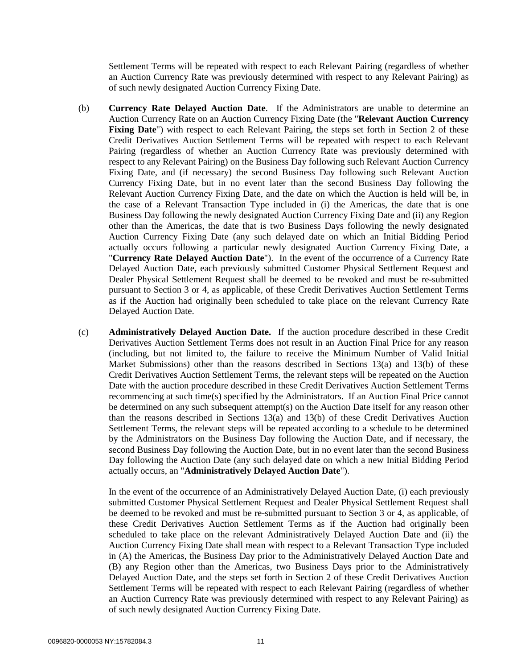Settlement Terms will be repeated with respect to each Relevant Pairing (regardless of whether an Auction Currency Rate was previously determined with respect to any Relevant Pairing) as of such newly designated Auction Currency Fixing Date.

- <span id="page-10-0"></span>(b) **Currency Rate Delayed Auction Date**. If the Administrators are unable to determine an Auction Currency Rate on an Auction Currency Fixing Date (the "**Relevant Auction Currency**  Fixing Date") with respect to each Relevant Pairing, the steps set forth in Section 2 of these Credit Derivatives Auction Settlement Terms will be repeated with respect to each Relevant Pairing (regardless of whether an Auction Currency Rate was previously determined with respect to any Relevant Pairing) on the Business Day following such Relevant Auction Currency Fixing Date, and (if necessary) the second Business Day following such Relevant Auction Currency Fixing Date, but in no event later than the second Business Day following the Relevant Auction Currency Fixing Date, and the date on which the Auction is held will be, in the case of a Relevant Transaction Type included in (i) the Americas, the date that is one Business Day following the newly designated Auction Currency Fixing Date and (ii) any Region other than the Americas, the date that is two Business Days following the newly designated Auction Currency Fixing Date (any such delayed date on which an Initial Bidding Period actually occurs following a particular newly designated Auction Currency Fixing Date, a "**Currency Rate Delayed Auction Date**"). In the event of the occurrence of a Currency Rate Delayed Auction Date, each previously submitted Customer Physical Settlement Request and Dealer Physical Settlement Request shall be deemed to be revoked and must be re-submitted pursuant to Section [3](#page-2-0) or [4,](#page-2-1) as applicable, of these Credit Derivatives Auction Settlement Terms as if the Auction had originally been scheduled to take place on the relevant Currency Rate Delayed Auction Date.
- <span id="page-10-1"></span>(c) **Administratively Delayed Auction Date.** If the auction procedure described in these Credit Derivatives Auction Settlement Terms does not result in an Auction Final Price for any reason (including, but not limited to, the failure to receive the Minimum Number of Valid Initial Market Submissions) other than the reasons described in Sections  $13(a)$  and  $13(b)$  of these Credit Derivatives Auction Settlement Terms, the relevant steps will be repeated on the Auction Date with the auction procedure described in these Credit Derivatives Auction Settlement Terms recommencing at such time(s) specified by the Administrators. If an Auction Final Price cannot be determined on any such subsequent attempt(s) on the Auction Date itself for any reason other than the reasons described in Sections [13\(a\)](#page-9-1) and [13\(b\)](#page-10-0) of these Credit Derivatives Auction Settlement Terms, the relevant steps will be repeated according to a schedule to be determined by the Administrators on the Business Day following the Auction Date, and if necessary, the second Business Day following the Auction Date, but in no event later than the second Business Day following the Auction Date (any such delayed date on which a new Initial Bidding Period actually occurs, an "**Administratively Delayed Auction Date**").

In the event of the occurrence of an Administratively Delayed Auction Date, (i) each previously submitted Customer Physical Settlement Request and Dealer Physical Settlement Request shall be deemed to be revoked and must be re-submitted pursuant to Section [3](#page-2-0) or [4,](#page-2-1) as applicable, of these Credit Derivatives Auction Settlement Terms as if the Auction had originally been scheduled to take place on the relevant Administratively Delayed Auction Date and (ii) the Auction Currency Fixing Date shall mean with respect to a Relevant Transaction Type included in (A) the Americas, the Business Day prior to the Administratively Delayed Auction Date and (B) any Region other than the Americas, two Business Days prior to the Administratively Delayed Auction Date, and the steps set forth in Section 2 of these Credit Derivatives Auction Settlement Terms will be repeated with respect to each Relevant Pairing (regardless of whether an Auction Currency Rate was previously determined with respect to any Relevant Pairing) as of such newly designated Auction Currency Fixing Date.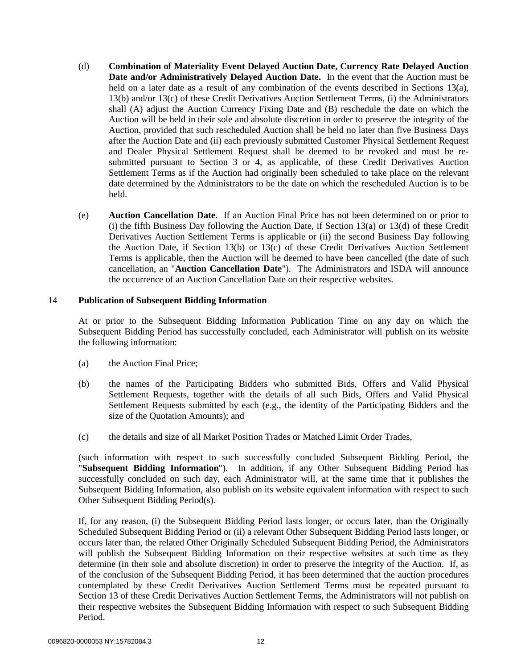- <span id="page-11-0"></span>(d) **Combination of Materiality Event Delayed Auction Date, Currency Rate Delayed Auction Date and/or Administratively Delayed Auction Date.** In the event that the Auction must be held on a later date as a result of any combination of the events described in Sections [13\(a\),](#page-9-1) [13\(b\)](#page-10-0) and/or [13\(c\)](#page-10-1) of these Credit Derivatives Auction Settlement Terms, (i) the Administrators shall (A) adjust the Auction Currency Fixing Date and (B) reschedule the date on which the Auction will be held in their sole and absolute discretion in order to preserve the integrity of the Auction, provided that such rescheduled Auction shall be held no later than five Business Days after the Auction Date and (ii) each previously submitted Customer Physical Settlement Request and Dealer Physical Settlement Request shall be deemed to be revoked and must be resubmitted pursuant to Section [3](#page-2-0) or [4,](#page-2-1) as applicable, of these Credit Derivatives Auction Settlement Terms as if the Auction had originally been scheduled to take place on the relevant date determined by the Administrators to be the date on which the rescheduled Auction is to be held.
- <span id="page-11-1"></span>(e) **Auction Cancellation Date.** If an Auction Final Price has not been determined on or prior to (i) the fifth Business Day following the Auction Date, if Section [13\(a\)](#page-9-1) or [13\(d\)](#page-11-0) of these Credit Derivatives Auction Settlement Terms is applicable or (ii) the second Business Day following the Auction Date, if Section [13\(b\)](#page-10-0) or [13\(c\)](#page-10-1) of these Credit Derivatives Auction Settlement Terms is applicable, then the Auction will be deemed to have been cancelled (the date of such cancellation, an "**Auction Cancellation Date**"). The Administrators and ISDA will announce the occurrence of an Auction Cancellation Date on their respective websites.

#### <span id="page-11-2"></span>14 **Publication of Subsequent Bidding Information**

At or prior to the Subsequent Bidding Information Publication Time on any day on which the Subsequent Bidding Period has successfully concluded, each Administrator will publish on its website the following information:

- (a) the Auction Final Price;
- (b) the names of the Participating Bidders who submitted Bids, Offers and Valid Physical Settlement Requests, together with the details of all such Bids, Offers and Valid Physical Settlement Requests submitted by each (e.g., the identity of the Participating Bidders and the size of the Quotation Amounts); and
- (c) the details and size of all Market Position Trades or Matched Limit Order Trades,

(such information with respect to such successfully concluded Subsequent Bidding Period, the "**Subsequent Bidding Information**"). In addition, if any Other Subsequent Bidding Period has successfully concluded on such day, each Administrator will, at the same time that it publishes the Subsequent Bidding Information, also publish on its website equivalent information with respect to such Other Subsequent Bidding Period(s).

If, for any reason, (i) the Subsequent Bidding Period lasts longer, or occurs later, than the Originally Scheduled Subsequent Bidding Period or (ii) a relevant Other Subsequent Bidding Period lasts longer, or occurs later than, the related Other Originally Scheduled Subsequent Bidding Period, the Administrators will publish the Subsequent Bidding Information on their respective websites at such time as they determine (in their sole and absolute discretion) in order to preserve the integrity of the Auction. If, as of the conclusion of the Subsequent Bidding Period, it has been determined that the auction procedures contemplated by these Credit Derivatives Auction Settlement Terms must be repeated pursuant to Section [13](#page-9-0) of these Credit Derivatives Auction Settlement Terms, the Administrators will not publish on their respective websites the Subsequent Bidding Information with respect to such Subsequent Bidding Period.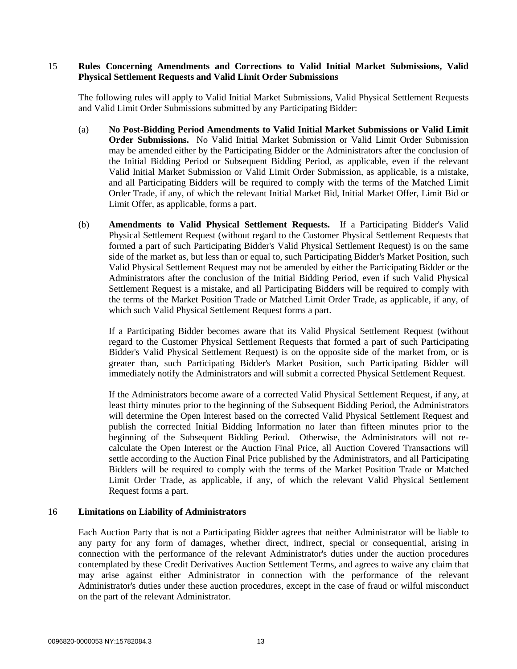#### 15 **Rules Concerning Amendments and Corrections to Valid Initial Market Submissions, Valid Physical Settlement Requests and Valid Limit Order Submissions**

The following rules will apply to Valid Initial Market Submissions, Valid Physical Settlement Requests and Valid Limit Order Submissions submitted by any Participating Bidder:

- (a) **No Post-Bidding Period Amendments to Valid Initial Market Submissions or Valid Limit Order Submissions.** No Valid Initial Market Submission or Valid Limit Order Submission may be amended either by the Participating Bidder or the Administrators after the conclusion of the Initial Bidding Period or Subsequent Bidding Period, as applicable, even if the relevant Valid Initial Market Submission or Valid Limit Order Submission, as applicable, is a mistake, and all Participating Bidders will be required to comply with the terms of the Matched Limit Order Trade, if any, of which the relevant Initial Market Bid, Initial Market Offer, Limit Bid or Limit Offer, as applicable, forms a part.
- (b) **Amendments to Valid Physical Settlement Requests.** If a Participating Bidder's Valid Physical Settlement Request (without regard to the Customer Physical Settlement Requests that formed a part of such Participating Bidder's Valid Physical Settlement Request) is on the same side of the market as, but less than or equal to, such Participating Bidder's Market Position, such Valid Physical Settlement Request may not be amended by either the Participating Bidder or the Administrators after the conclusion of the Initial Bidding Period, even if such Valid Physical Settlement Request is a mistake, and all Participating Bidders will be required to comply with the terms of the Market Position Trade or Matched Limit Order Trade, as applicable, if any, of which such Valid Physical Settlement Request forms a part.

If a Participating Bidder becomes aware that its Valid Physical Settlement Request (without regard to the Customer Physical Settlement Requests that formed a part of such Participating Bidder's Valid Physical Settlement Request) is on the opposite side of the market from, or is greater than, such Participating Bidder's Market Position, such Participating Bidder will immediately notify the Administrators and will submit a corrected Physical Settlement Request.

If the Administrators become aware of a corrected Valid Physical Settlement Request, if any, at least thirty minutes prior to the beginning of the Subsequent Bidding Period, the Administrators will determine the Open Interest based on the corrected Valid Physical Settlement Request and publish the corrected Initial Bidding Information no later than fifteen minutes prior to the beginning of the Subsequent Bidding Period. Otherwise, the Administrators will not recalculate the Open Interest or the Auction Final Price, all Auction Covered Transactions will settle according to the Auction Final Price published by the Administrators, and all Participating Bidders will be required to comply with the terms of the Market Position Trade or Matched Limit Order Trade, as applicable, if any, of which the relevant Valid Physical Settlement Request forms a part.

#### 16 **Limitations on Liability of Administrators**

Each Auction Party that is not a Participating Bidder agrees that neither Administrator will be liable to any party for any form of damages, whether direct, indirect, special or consequential, arising in connection with the performance of the relevant Administrator's duties under the auction procedures contemplated by these Credit Derivatives Auction Settlement Terms, and agrees to waive any claim that may arise against either Administrator in connection with the performance of the relevant Administrator's duties under these auction procedures, except in the case of fraud or wilful misconduct on the part of the relevant Administrator.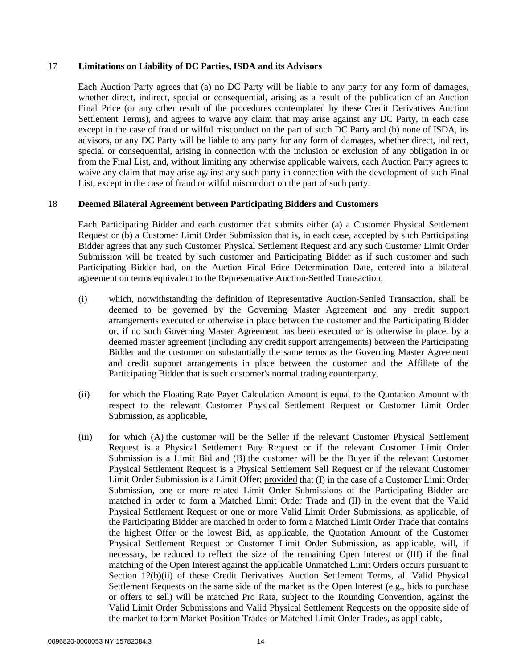#### 17 **Limitations on Liability of DC Parties, ISDA and its Advisors**

Each Auction Party agrees that (a) no DC Party will be liable to any party for any form of damages, whether direct, indirect, special or consequential, arising as a result of the publication of an Auction Final Price (or any other result of the procedures contemplated by these Credit Derivatives Auction Settlement Terms), and agrees to waive any claim that may arise against any DC Party, in each case except in the case of fraud or wilful misconduct on the part of such DC Party and (b) none of ISDA, its advisors, or any DC Party will be liable to any party for any form of damages, whether direct, indirect, special or consequential, arising in connection with the inclusion or exclusion of any obligation in or from the Final List, and, without limiting any otherwise applicable waivers, each Auction Party agrees to waive any claim that may arise against any such party in connection with the development of such Final List, except in the case of fraud or wilful misconduct on the part of such party.

# 18 **Deemed Bilateral Agreement between Participating Bidders and Customers**

Each Participating Bidder and each customer that submits either (a) a Customer Physical Settlement Request or (b) a Customer Limit Order Submission that is, in each case, accepted by such Participating Bidder agrees that any such Customer Physical Settlement Request and any such Customer Limit Order Submission will be treated by such customer and Participating Bidder as if such customer and such Participating Bidder had, on the Auction Final Price Determination Date, entered into a bilateral agreement on terms equivalent to the Representative Auction-Settled Transaction,

- (i) which, notwithstanding the definition of Representative Auction-Settled Transaction, shall be deemed to be governed by the Governing Master Agreement and any credit support arrangements executed or otherwise in place between the customer and the Participating Bidder or, if no such Governing Master Agreement has been executed or is otherwise in place, by a deemed master agreement (including any credit support arrangements) between the Participating Bidder and the customer on substantially the same terms as the Governing Master Agreement and credit support arrangements in place between the customer and the Affiliate of the Participating Bidder that is such customer's normal trading counterparty,
- (ii) for which the Floating Rate Payer Calculation Amount is equal to the Quotation Amount with respect to the relevant Customer Physical Settlement Request or Customer Limit Order Submission, as applicable,
- (iii) for which (A) the customer will be the Seller if the relevant Customer Physical Settlement Request is a Physical Settlement Buy Request or if the relevant Customer Limit Order Submission is a Limit Bid and (B) the customer will be the Buyer if the relevant Customer Physical Settlement Request is a Physical Settlement Sell Request or if the relevant Customer Limit Order Submission is a Limit Offer; provided that (I) in the case of a Customer Limit Order Submission, one or more related Limit Order Submissions of the Participating Bidder are matched in order to form a Matched Limit Order Trade and (II) in the event that the Valid Physical Settlement Request or one or more Valid Limit Order Submissions, as applicable, of the Participating Bidder are matched in order to form a Matched Limit Order Trade that contains the highest Offer or the lowest Bid, as applicable, the Quotation Amount of the Customer Physical Settlement Request or Customer Limit Order Submission, as applicable, will, if necessary, be reduced to reflect the size of the remaining Open Interest or (III) if the final matching of the Open Interest against the applicable Unmatched Limit Orders occurs pursuant to Section [12\(b\)\(ii\)](#page-7-2) of these Credit Derivatives Auction Settlement Terms, all Valid Physical Settlement Requests on the same side of the market as the Open Interest (e.g., bids to purchase or offers to sell) will be matched Pro Rata, subject to the Rounding Convention, against the Valid Limit Order Submissions and Valid Physical Settlement Requests on the opposite side of the market to form Market Position Trades or Matched Limit Order Trades, as applicable,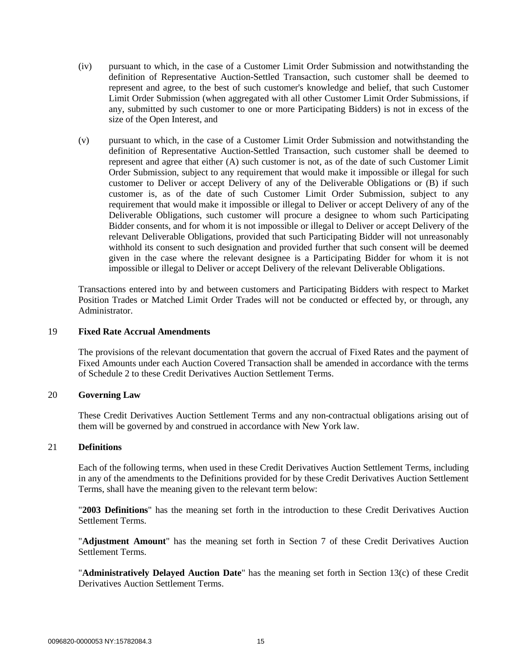- (iv) pursuant to which, in the case of a Customer Limit Order Submission and notwithstanding the definition of Representative Auction-Settled Transaction, such customer shall be deemed to represent and agree, to the best of such customer's knowledge and belief, that such Customer Limit Order Submission (when aggregated with all other Customer Limit Order Submissions, if any, submitted by such customer to one or more Participating Bidders) is not in excess of the size of the Open Interest, and
- (v) pursuant to which, in the case of a Customer Limit Order Submission and notwithstanding the definition of Representative Auction-Settled Transaction, such customer shall be deemed to represent and agree that either (A) such customer is not, as of the date of such Customer Limit Order Submission, subject to any requirement that would make it impossible or illegal for such customer to Deliver or accept Delivery of any of the Deliverable Obligations or (B) if such customer is, as of the date of such Customer Limit Order Submission, subject to any requirement that would make it impossible or illegal to Deliver or accept Delivery of any of the Deliverable Obligations, such customer will procure a designee to whom such Participating Bidder consents, and for whom it is not impossible or illegal to Deliver or accept Delivery of the relevant Deliverable Obligations, provided that such Participating Bidder will not unreasonably withhold its consent to such designation and provided further that such consent will be deemed given in the case where the relevant designee is a Participating Bidder for whom it is not impossible or illegal to Deliver or accept Delivery of the relevant Deliverable Obligations.

Transactions entered into by and between customers and Participating Bidders with respect to Market Position Trades or Matched Limit Order Trades will not be conducted or effected by, or through, any Administrator.

#### 19 **Fixed Rate Accrual Amendments**

The provisions of the relevant documentation that govern the accrual of Fixed Rates and the payment of Fixed Amounts under each Auction Covered Transaction shall be amended in accordance with the terms of Schedule 2 to these Credit Derivatives Auction Settlement Terms.

# 20 **Governing Law**

These Credit Derivatives Auction Settlement Terms and any non-contractual obligations arising out of them will be governed by and construed in accordance with New York law.

#### <span id="page-14-0"></span>21 **Definitions**

Each of the following terms, when used in these Credit Derivatives Auction Settlement Terms, including in any of the amendments to the Definitions provided for by these Credit Derivatives Auction Settlement Terms, shall have the meaning given to the relevant term below:

"**2003 Definitions**" has the meaning set forth in the introduction to these Credit Derivatives Auction Settlement Terms.

"**Adjustment Amount**" has the meaning set forth in Section [7](#page-4-2) of these Credit Derivatives Auction Settlement Terms.

"**Administratively Delayed Auction Date**" has the meaning set forth in Section [13\(c\)](#page-10-1) of these Credit Derivatives Auction Settlement Terms.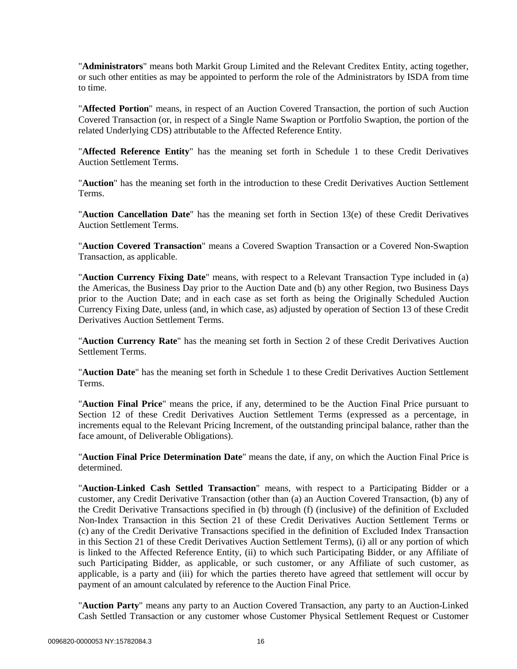"**Administrators**" means both Markit Group Limited and the Relevant Creditex Entity, acting together, or such other entities as may be appointed to perform the role of the Administrators by ISDA from time to time.

"**Affected Portion**" means, in respect of an Auction Covered Transaction, the portion of such Auction Covered Transaction (or, in respect of a Single Name Swaption or Portfolio Swaption, the portion of the related Underlying CDS) attributable to the Affected Reference Entity.

"**Affected Reference Entity**" has the meaning set forth in Schedule 1 to these Credit Derivatives Auction Settlement Terms.

"**Auction**" has the meaning set forth in the introduction to these Credit Derivatives Auction Settlement Terms.

"**Auction Cancellation Date**" has the meaning set forth in Section [13\(e\)](#page-11-1) of these Credit Derivatives Auction Settlement Terms.

"**Auction Covered Transaction**" means a Covered Swaption Transaction or a Covered Non-Swaption Transaction, as applicable.

"**Auction Currency Fixing Date**" means, with respect to a Relevant Transaction Type included in (a) the Americas, the Business Day prior to the Auction Date and (b) any other Region, two Business Days prior to the Auction Date; and in each case as set forth as being the Originally Scheduled Auction Currency Fixing Date, unless (and, in which case, as) adjusted by operation of Section 13 of these Credit Derivatives Auction Settlement Terms.

"**Auction Currency Rate**" has the meaning set forth in Section [2](#page-1-1) of these Credit Derivatives Auction Settlement Terms.

"**Auction Date**" has the meaning set forth in Schedule 1 to these Credit Derivatives Auction Settlement Terms.

"**Auction Final Price**" means the price, if any, determined to be the Auction Final Price pursuant to Section [12](#page-7-0) of these Credit Derivatives Auction Settlement Terms (expressed as a percentage, in increments equal to the Relevant Pricing Increment, of the outstanding principal balance, rather than the face amount, of Deliverable Obligations).

"**Auction Final Price Determination Date**" means the date, if any, on which the Auction Final Price is determined.

"**Auction-Linked Cash Settled Transaction**" means, with respect to a Participating Bidder or a customer, any Credit Derivative Transaction (other than (a) an Auction Covered Transaction, (b) any of the Credit Derivative Transactions specified in (b) through (f) (inclusive) of the definition of Excluded Non-Index Transaction in this Section [21](#page-14-0) of these Credit Derivatives Auction Settlement Terms or (c) any of the Credit Derivative Transactions specified in the definition of Excluded Index Transaction in this Section [21](#page-14-0) of these Credit Derivatives Auction Settlement Terms), (i) all or any portion of which is linked to the Affected Reference Entity, (ii) to which such Participating Bidder, or any Affiliate of such Participating Bidder, as applicable, or such customer, or any Affiliate of such customer, as applicable, is a party and (iii) for which the parties thereto have agreed that settlement will occur by payment of an amount calculated by reference to the Auction Final Price.

"**Auction Party**" means any party to an Auction Covered Transaction, any party to an Auction-Linked Cash Settled Transaction or any customer whose Customer Physical Settlement Request or Customer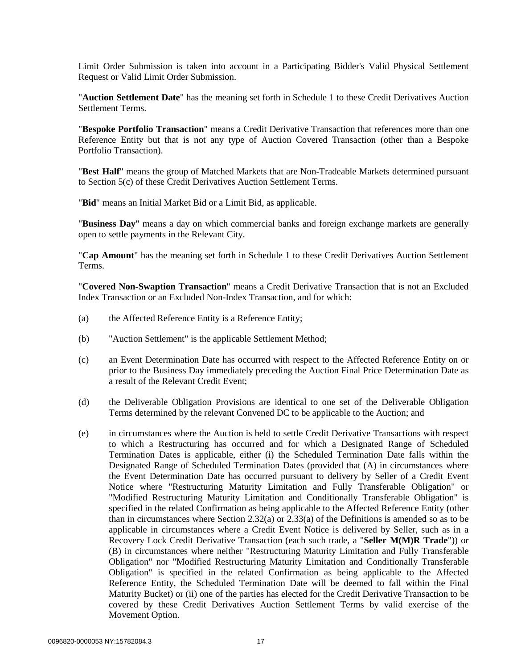Limit Order Submission is taken into account in a Participating Bidder's Valid Physical Settlement Request or Valid Limit Order Submission.

"**Auction Settlement Date**" has the meaning set forth in Schedule 1 to these Credit Derivatives Auction Settlement Terms.

"**Bespoke Portfolio Transaction**" means a Credit Derivative Transaction that references more than one Reference Entity but that is not any type of Auction Covered Transaction (other than a Bespoke Portfolio Transaction).

"**Best Half**" means the group of Matched Markets that are Non-Tradeable Markets determined pursuant to Section [5\(c\)](#page-3-2) of these Credit Derivatives Auction Settlement Terms.

"**Bid**" means an Initial Market Bid or a Limit Bid, as applicable.

"**Business Day**" means a day on which commercial banks and foreign exchange markets are generally open to settle payments in the Relevant City.

"**Cap Amount**" has the meaning set forth in Schedule 1 to these Credit Derivatives Auction Settlement Terms.

"**Covered Non-Swaption Transaction**" means a Credit Derivative Transaction that is not an Excluded Index Transaction or an Excluded Non-Index Transaction, and for which:

- (a) the Affected Reference Entity is a Reference Entity;
- (b) "Auction Settlement" is the applicable Settlement Method;
- (c) an Event Determination Date has occurred with respect to the Affected Reference Entity on or prior to the Business Day immediately preceding the Auction Final Price Determination Date as a result of the Relevant Credit Event;
- (d) the Deliverable Obligation Provisions are identical to one set of the Deliverable Obligation Terms determined by the relevant Convened DC to be applicable to the Auction; and
- (e) in circumstances where the Auction is held to settle Credit Derivative Transactions with respect to which a Restructuring has occurred and for which a Designated Range of Scheduled Termination Dates is applicable, either (i) the Scheduled Termination Date falls within the Designated Range of Scheduled Termination Dates (provided that (A) in circumstances where the Event Determination Date has occurred pursuant to delivery by Seller of a Credit Event Notice where "Restructuring Maturity Limitation and Fully Transferable Obligation" or "Modified Restructuring Maturity Limitation and Conditionally Transferable Obligation" is specified in the related Confirmation as being applicable to the Affected Reference Entity (other than in circumstances where Section 2.32(a) or 2.33(a) of the Definitions is amended so as to be applicable in circumstances where a Credit Event Notice is delivered by Seller, such as in a Recovery Lock Credit Derivative Transaction (each such trade, a "**Seller M(M)R Trade**")) or (B) in circumstances where neither "Restructuring Maturity Limitation and Fully Transferable Obligation" nor "Modified Restructuring Maturity Limitation and Conditionally Transferable Obligation" is specified in the related Confirmation as being applicable to the Affected Reference Entity, the Scheduled Termination Date will be deemed to fall within the Final Maturity Bucket) or (ii) one of the parties has elected for the Credit Derivative Transaction to be covered by these Credit Derivatives Auction Settlement Terms by valid exercise of the Movement Option.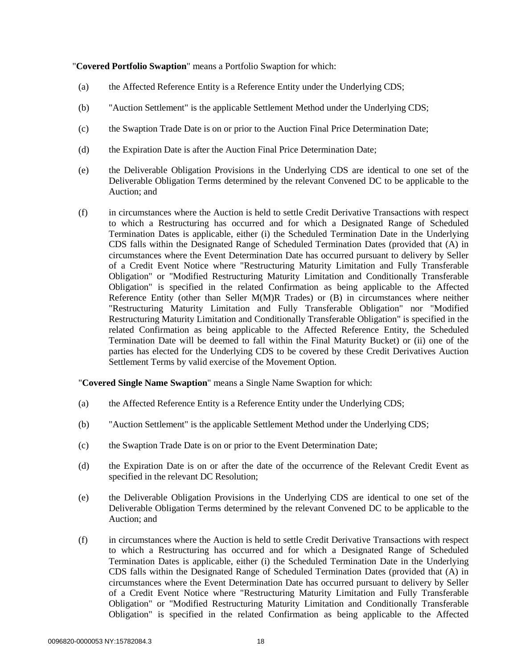"**Covered Portfolio Swaption**" means a Portfolio Swaption for which:

- (a) the Affected Reference Entity is a Reference Entity under the Underlying CDS;
- (b) "Auction Settlement" is the applicable Settlement Method under the Underlying CDS;
- (c) the Swaption Trade Date is on or prior to the Auction Final Price Determination Date;
- (d) the Expiration Date is after the Auction Final Price Determination Date;
- (e) the Deliverable Obligation Provisions in the Underlying CDS are identical to one set of the Deliverable Obligation Terms determined by the relevant Convened DC to be applicable to the Auction; and
- (f) in circumstances where the Auction is held to settle Credit Derivative Transactions with respect to which a Restructuring has occurred and for which a Designated Range of Scheduled Termination Dates is applicable, either (i) the Scheduled Termination Date in the Underlying CDS falls within the Designated Range of Scheduled Termination Dates (provided that (A) in circumstances where the Event Determination Date has occurred pursuant to delivery by Seller of a Credit Event Notice where "Restructuring Maturity Limitation and Fully Transferable Obligation" or "Modified Restructuring Maturity Limitation and Conditionally Transferable Obligation" is specified in the related Confirmation as being applicable to the Affected Reference Entity (other than Seller M(M)R Trades) or (B) in circumstances where neither "Restructuring Maturity Limitation and Fully Transferable Obligation" nor "Modified Restructuring Maturity Limitation and Conditionally Transferable Obligation" is specified in the related Confirmation as being applicable to the Affected Reference Entity, the Scheduled Termination Date will be deemed to fall within the Final Maturity Bucket) or (ii) one of the parties has elected for the Underlying CDS to be covered by these Credit Derivatives Auction Settlement Terms by valid exercise of the Movement Option.

"**Covered Single Name Swaption**" means a Single Name Swaption for which:

- (a) the Affected Reference Entity is a Reference Entity under the Underlying CDS;
- (b) "Auction Settlement" is the applicable Settlement Method under the Underlying CDS;
- (c) the Swaption Trade Date is on or prior to the Event Determination Date;
- (d) the Expiration Date is on or after the date of the occurrence of the Relevant Credit Event as specified in the relevant DC Resolution;
- (e) the Deliverable Obligation Provisions in the Underlying CDS are identical to one set of the Deliverable Obligation Terms determined by the relevant Convened DC to be applicable to the Auction; and
- (f) in circumstances where the Auction is held to settle Credit Derivative Transactions with respect to which a Restructuring has occurred and for which a Designated Range of Scheduled Termination Dates is applicable, either (i) the Scheduled Termination Date in the Underlying CDS falls within the Designated Range of Scheduled Termination Dates (provided that (A) in circumstances where the Event Determination Date has occurred pursuant to delivery by Seller of a Credit Event Notice where "Restructuring Maturity Limitation and Fully Transferable Obligation" or "Modified Restructuring Maturity Limitation and Conditionally Transferable Obligation" is specified in the related Confirmation as being applicable to the Affected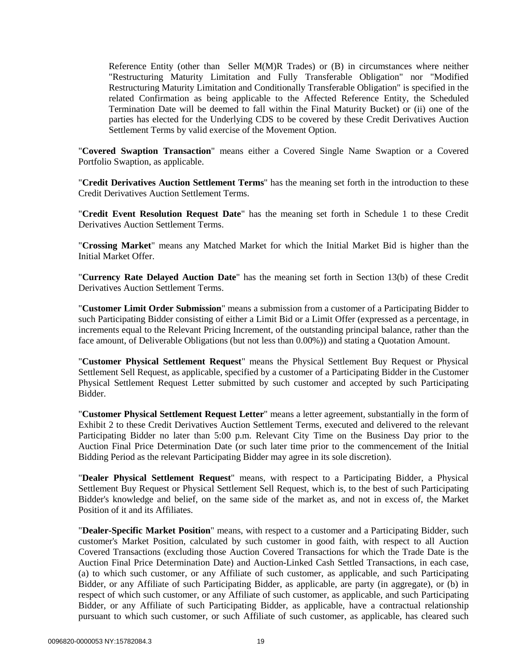Reference Entity (other than Seller M(M)R Trades) or (B) in circumstances where neither "Restructuring Maturity Limitation and Fully Transferable Obligation" nor "Modified Restructuring Maturity Limitation and Conditionally Transferable Obligation" is specified in the related Confirmation as being applicable to the Affected Reference Entity, the Scheduled Termination Date will be deemed to fall within the Final Maturity Bucket) or (ii) one of the parties has elected for the Underlying CDS to be covered by these Credit Derivatives Auction Settlement Terms by valid exercise of the Movement Option.

"**Covered Swaption Transaction**" means either a Covered Single Name Swaption or a Covered Portfolio Swaption, as applicable.

"**Credit Derivatives Auction Settlement Terms**" has the meaning set forth in the introduction to these Credit Derivatives Auction Settlement Terms.

"**Credit Event Resolution Request Date**" has the meaning set forth in Schedule 1 to these Credit Derivatives Auction Settlement Terms.

"**Crossing Market**" means any Matched Market for which the Initial Market Bid is higher than the Initial Market Offer.

"**Currency Rate Delayed Auction Date**" has the meaning set forth in Section [13\(b\)](#page-10-0) of these Credit Derivatives Auction Settlement Terms.

"**Customer Limit Order Submission**" means a submission from a customer of a Participating Bidder to such Participating Bidder consisting of either a Limit Bid or a Limit Offer (expressed as a percentage, in increments equal to the Relevant Pricing Increment, of the outstanding principal balance, rather than the face amount, of Deliverable Obligations (but not less than 0.00%)) and stating a Quotation Amount.

"**Customer Physical Settlement Request**" means the Physical Settlement Buy Request or Physical Settlement Sell Request, as applicable, specified by a customer of a Participating Bidder in the Customer Physical Settlement Request Letter submitted by such customer and accepted by such Participating Bidder.

"**Customer Physical Settlement Request Letter**" means a letter agreement, substantially in the form of Exhibit 2 to these Credit Derivatives Auction Settlement Terms, executed and delivered to the relevant Participating Bidder no later than 5:00 p.m. Relevant City Time on the Business Day prior to the Auction Final Price Determination Date (or such later time prior to the commencement of the Initial Bidding Period as the relevant Participating Bidder may agree in its sole discretion).

"**Dealer Physical Settlement Request**" means, with respect to a Participating Bidder, a Physical Settlement Buy Request or Physical Settlement Sell Request, which is, to the best of such Participating Bidder's knowledge and belief, on the same side of the market as, and not in excess of, the Market Position of it and its Affiliates.

"**Dealer-Specific Market Position**" means, with respect to a customer and a Participating Bidder, such customer's Market Position, calculated by such customer in good faith, with respect to all Auction Covered Transactions (excluding those Auction Covered Transactions for which the Trade Date is the Auction Final Price Determination Date) and Auction-Linked Cash Settled Transactions, in each case, (a) to which such customer, or any Affiliate of such customer, as applicable, and such Participating Bidder, or any Affiliate of such Participating Bidder, as applicable, are party (in aggregate), or (b) in respect of which such customer, or any Affiliate of such customer, as applicable, and such Participating Bidder, or any Affiliate of such Participating Bidder, as applicable, have a contractual relationship pursuant to which such customer, or such Affiliate of such customer, as applicable, has cleared such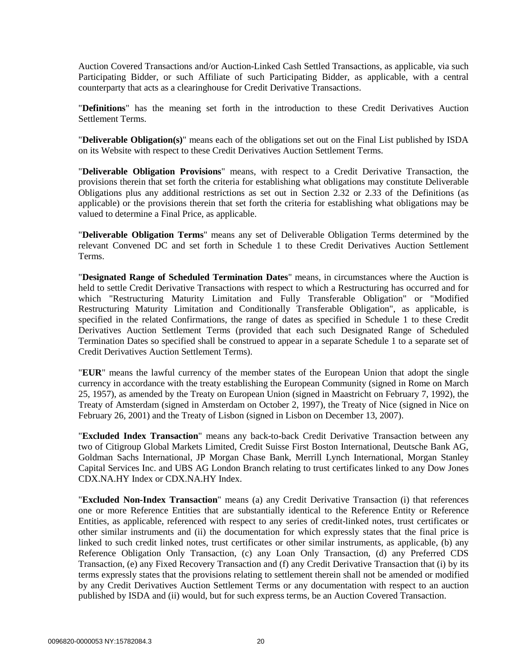Auction Covered Transactions and/or Auction-Linked Cash Settled Transactions, as applicable, via such Participating Bidder, or such Affiliate of such Participating Bidder, as applicable, with a central counterparty that acts as a clearinghouse for Credit Derivative Transactions.

"**Definitions**" has the meaning set forth in the introduction to these Credit Derivatives Auction Settlement Terms.

"**Deliverable Obligation(s)**" means each of the obligations set out on the Final List published by ISDA on its Website with respect to these Credit Derivatives Auction Settlement Terms.

"**Deliverable Obligation Provisions**" means, with respect to a Credit Derivative Transaction, the provisions therein that set forth the criteria for establishing what obligations may constitute Deliverable Obligations plus any additional restrictions as set out in Section 2.32 or 2.33 of the Definitions (as applicable) or the provisions therein that set forth the criteria for establishing what obligations may be valued to determine a Final Price, as applicable.

"**Deliverable Obligation Terms**" means any set of Deliverable Obligation Terms determined by the relevant Convened DC and set forth in Schedule 1 to these Credit Derivatives Auction Settlement Terms.

"**Designated Range of Scheduled Termination Dates**" means, in circumstances where the Auction is held to settle Credit Derivative Transactions with respect to which a Restructuring has occurred and for which "Restructuring Maturity Limitation and Fully Transferable Obligation" or "Modified Restructuring Maturity Limitation and Conditionally Transferable Obligation", as applicable, is specified in the related Confirmations, the range of dates as specified in Schedule 1 to these Credit Derivatives Auction Settlement Terms (provided that each such Designated Range of Scheduled Termination Dates so specified shall be construed to appear in a separate Schedule 1 to a separate set of Credit Derivatives Auction Settlement Terms).

"**EUR**" means the lawful currency of the member states of the European Union that adopt the single currency in accordance with the treaty establishing the European Community (signed in Rome on March 25, 1957), as amended by the Treaty on European Union (signed in Maastricht on February 7, 1992), the Treaty of Amsterdam (signed in Amsterdam on October 2, 1997), the Treaty of Nice (signed in Nice on February 26, 2001) and the Treaty of Lisbon (signed in Lisbon on December 13, 2007).

"**Excluded Index Transaction**" means any back-to-back Credit Derivative Transaction between any two of Citigroup Global Markets Limited, Credit Suisse First Boston International, Deutsche Bank AG, Goldman Sachs International, JP Morgan Chase Bank, Merrill Lynch International, Morgan Stanley Capital Services Inc. and UBS AG London Branch relating to trust certificates linked to any Dow Jones CDX.NA.HY Index or CDX.NA.HY Index.

"**Excluded Non-Index Transaction**" means (a) any Credit Derivative Transaction (i) that references one or more Reference Entities that are substantially identical to the Reference Entity or Reference Entities, as applicable, referenced with respect to any series of credit-linked notes, trust certificates or other similar instruments and (ii) the documentation for which expressly states that the final price is linked to such credit linked notes, trust certificates or other similar instruments, as applicable, (b) any Reference Obligation Only Transaction, (c) any Loan Only Transaction, (d) any Preferred CDS Transaction, (e) any Fixed Recovery Transaction and (f) any Credit Derivative Transaction that (i) by its terms expressly states that the provisions relating to settlement therein shall not be amended or modified by any Credit Derivatives Auction Settlement Terms or any documentation with respect to an auction published by ISDA and (ii) would, but for such express terms, be an Auction Covered Transaction.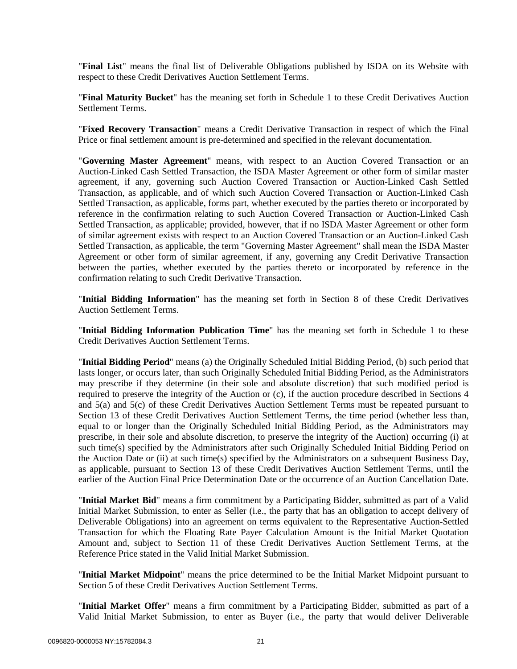"**Final List**" means the final list of Deliverable Obligations published by ISDA on its Website with respect to these Credit Derivatives Auction Settlement Terms.

"**Final Maturity Bucket**" has the meaning set forth in Schedule 1 to these Credit Derivatives Auction Settlement Terms.

"**Fixed Recovery Transaction**" means a Credit Derivative Transaction in respect of which the Final Price or final settlement amount is pre-determined and specified in the relevant documentation.

"**Governing Master Agreement**" means, with respect to an Auction Covered Transaction or an Auction-Linked Cash Settled Transaction, the ISDA Master Agreement or other form of similar master agreement, if any, governing such Auction Covered Transaction or Auction-Linked Cash Settled Transaction, as applicable, and of which such Auction Covered Transaction or Auction-Linked Cash Settled Transaction, as applicable, forms part, whether executed by the parties thereto or incorporated by reference in the confirmation relating to such Auction Covered Transaction or Auction-Linked Cash Settled Transaction, as applicable; provided, however, that if no ISDA Master Agreement or other form of similar agreement exists with respect to an Auction Covered Transaction or an Auction-Linked Cash Settled Transaction, as applicable, the term "Governing Master Agreement" shall mean the ISDA Master Agreement or other form of similar agreement, if any, governing any Credit Derivative Transaction between the parties, whether executed by the parties thereto or incorporated by reference in the confirmation relating to such Credit Derivative Transaction.

"**Initial Bidding Information**" has the meaning set forth in Section [8](#page-5-0) of these Credit Derivatives Auction Settlement Terms.

"**Initial Bidding Information Publication Time**" has the meaning set forth in Schedule 1 to these Credit Derivatives Auction Settlement Terms.

"**Initial Bidding Period**" means (a) the Originally Scheduled Initial Bidding Period, (b) such period that lasts longer, or occurs later, than such Originally Scheduled Initial Bidding Period, as the Administrators may prescribe if they determine (in their sole and absolute discretion) that such modified period is required to preserve the integrity of the Auction or (c), if the auction procedure described in Sections [4](#page-2-1) and [5\(a\)](#page-3-0) and [5\(c\)](#page-3-2) of these Credit Derivatives Auction Settlement Terms must be repeated pursuant to Section [13](#page-9-0) of these Credit Derivatives Auction Settlement Terms, the time period (whether less than, equal to or longer than the Originally Scheduled Initial Bidding Period, as the Administrators may prescribe, in their sole and absolute discretion, to preserve the integrity of the Auction) occurring (i) at such time(s) specified by the Administrators after such Originally Scheduled Initial Bidding Period on the Auction Date or (ii) at such time(s) specified by the Administrators on a subsequent Business Day, as applicable, pursuant to Section [13](#page-9-0) of these Credit Derivatives Auction Settlement Terms, until the earlier of the Auction Final Price Determination Date or the occurrence of an Auction Cancellation Date.

"**Initial Market Bid**" means a firm commitment by a Participating Bidder, submitted as part of a Valid Initial Market Submission, to enter as Seller (i.e., the party that has an obligation to accept delivery of Deliverable Obligations) into an agreement on terms equivalent to the Representative Auction-Settled Transaction for which the Floating Rate Payer Calculation Amount is the Initial Market Quotation Amount and, subject to Section [11](#page-6-0) of these Credit Derivatives Auction Settlement Terms, at the Reference Price stated in the Valid Initial Market Submission.

"**Initial Market Midpoint**" means the price determined to be the Initial Market Midpoint pursuant to Section [5](#page-3-3) of these Credit Derivatives Auction Settlement Terms.

"**Initial Market Offer**" means a firm commitment by a Participating Bidder, submitted as part of a Valid Initial Market Submission, to enter as Buyer (i.e., the party that would deliver Deliverable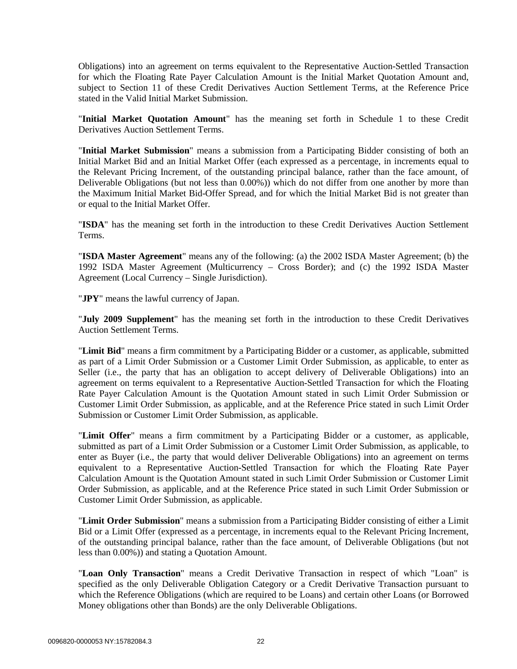Obligations) into an agreement on terms equivalent to the Representative Auction-Settled Transaction for which the Floating Rate Payer Calculation Amount is the Initial Market Quotation Amount and, subject to Section [11](#page-6-0) of these Credit Derivatives Auction Settlement Terms, at the Reference Price stated in the Valid Initial Market Submission.

"**Initial Market Quotation Amount**" has the meaning set forth in Schedule 1 to these Credit Derivatives Auction Settlement Terms.

"**Initial Market Submission**" means a submission from a Participating Bidder consisting of both an Initial Market Bid and an Initial Market Offer (each expressed as a percentage, in increments equal to the Relevant Pricing Increment, of the outstanding principal balance, rather than the face amount, of Deliverable Obligations (but not less than 0.00%)) which do not differ from one another by more than the Maximum Initial Market Bid-Offer Spread, and for which the Initial Market Bid is not greater than or equal to the Initial Market Offer.

"**ISDA**" has the meaning set forth in the introduction to these Credit Derivatives Auction Settlement Terms.

"**ISDA Master Agreement**" means any of the following: (a) the 2002 ISDA Master Agreement; (b) the 1992 ISDA Master Agreement (Multicurrency – Cross Border); and (c) the 1992 ISDA Master Agreement (Local Currency – Single Jurisdiction).

"**JPY**" means the lawful currency of Japan.

"**July 2009 Supplement**" has the meaning set forth in the introduction to these Credit Derivatives Auction Settlement Terms.

"**Limit Bid**" means a firm commitment by a Participating Bidder or a customer, as applicable, submitted as part of a Limit Order Submission or a Customer Limit Order Submission, as applicable, to enter as Seller (i.e., the party that has an obligation to accept delivery of Deliverable Obligations) into an agreement on terms equivalent to a Representative Auction-Settled Transaction for which the Floating Rate Payer Calculation Amount is the Quotation Amount stated in such Limit Order Submission or Customer Limit Order Submission, as applicable, and at the Reference Price stated in such Limit Order Submission or Customer Limit Order Submission, as applicable.

"**Limit Offer**" means a firm commitment by a Participating Bidder or a customer, as applicable, submitted as part of a Limit Order Submission or a Customer Limit Order Submission, as applicable, to enter as Buyer (i.e., the party that would deliver Deliverable Obligations) into an agreement on terms equivalent to a Representative Auction-Settled Transaction for which the Floating Rate Payer Calculation Amount is the Quotation Amount stated in such Limit Order Submission or Customer Limit Order Submission, as applicable, and at the Reference Price stated in such Limit Order Submission or Customer Limit Order Submission, as applicable.

"**Limit Order Submission**" means a submission from a Participating Bidder consisting of either a Limit Bid or a Limit Offer (expressed as a percentage, in increments equal to the Relevant Pricing Increment, of the outstanding principal balance, rather than the face amount, of Deliverable Obligations (but not less than 0.00%)) and stating a Quotation Amount.

"**Loan Only Transaction**" means a Credit Derivative Transaction in respect of which "Loan" is specified as the only Deliverable Obligation Category or a Credit Derivative Transaction pursuant to which the Reference Obligations (which are required to be Loans) and certain other Loans (or Borrowed Money obligations other than Bonds) are the only Deliverable Obligations.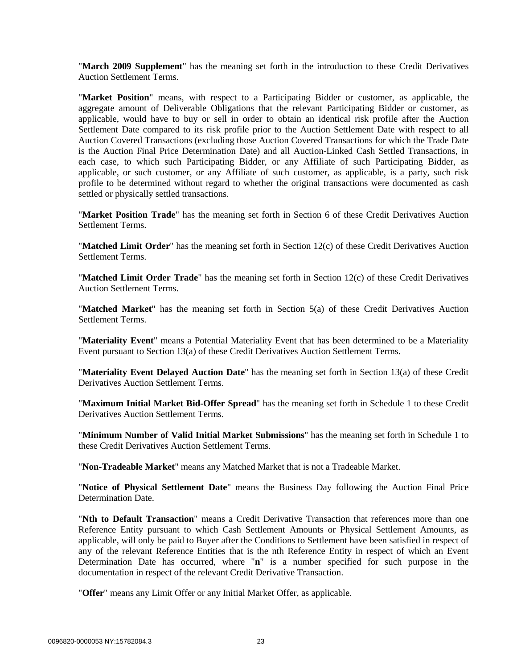"**March 2009 Supplement**" has the meaning set forth in the introduction to these Credit Derivatives Auction Settlement Terms.

"**Market Position**" means, with respect to a Participating Bidder or customer, as applicable, the aggregate amount of Deliverable Obligations that the relevant Participating Bidder or customer, as applicable, would have to buy or sell in order to obtain an identical risk profile after the Auction Settlement Date compared to its risk profile prior to the Auction Settlement Date with respect to all Auction Covered Transactions (excluding those Auction Covered Transactions for which the Trade Date is the Auction Final Price Determination Date) and all Auction-Linked Cash Settled Transactions, in each case, to which such Participating Bidder, or any Affiliate of such Participating Bidder, as applicable, or such customer, or any Affiliate of such customer, as applicable, is a party, such risk profile to be determined without regard to whether the original transactions were documented as cash settled or physically settled transactions.

"**Market Position Trade**" has the meaning set forth in Section [6](#page-4-1) of these Credit Derivatives Auction Settlement Terms.

"**Matched Limit Order**" has the meaning set forth in Section [12\(c\)](#page-7-4) of these Credit Derivatives Auction Settlement Terms.

"**Matched Limit Order Trade**" has the meaning set forth in Section [12\(c\)](#page-7-4) of these Credit Derivatives Auction Settlement Terms.

"**Matched Market**" has the meaning set forth in Section [5\(a\)](#page-3-0) of these Credit Derivatives Auction Settlement Terms.

"**Materiality Event**" means a Potential Materiality Event that has been determined to be a Materiality Event pursuant to Section [13\(a\)](#page-9-1) of these Credit Derivatives Auction Settlement Terms.

"**Materiality Event Delayed Auction Date**" has the meaning set forth in Section [13\(a\)](#page-9-1) of these Credit Derivatives Auction Settlement Terms.

"**Maximum Initial Market Bid-Offer Spread**" has the meaning set forth in Schedule 1 to these Credit Derivatives Auction Settlement Terms.

"**Minimum Number of Valid Initial Market Submissions**" has the meaning set forth in Schedule 1 to these Credit Derivatives Auction Settlement Terms.

"**Non-Tradeable Market**" means any Matched Market that is not a Tradeable Market.

"**Notice of Physical Settlement Date**" means the Business Day following the Auction Final Price Determination Date.

"**Nth to Default Transaction**" means a Credit Derivative Transaction that references more than one Reference Entity pursuant to which Cash Settlement Amounts or Physical Settlement Amounts, as applicable, will only be paid to Buyer after the Conditions to Settlement have been satisfied in respect of any of the relevant Reference Entities that is the nth Reference Entity in respect of which an Event Determination Date has occurred, where "**n**" is a number specified for such purpose in the documentation in respect of the relevant Credit Derivative Transaction.

"**Offer**" means any Limit Offer or any Initial Market Offer, as applicable.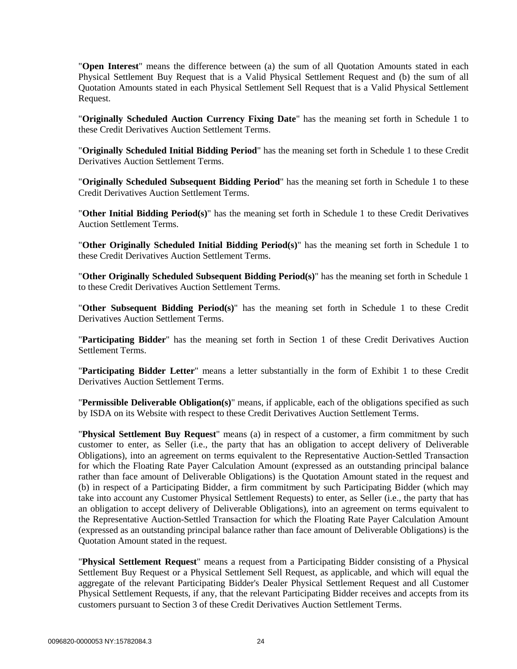"**Open Interest**" means the difference between (a) the sum of all Quotation Amounts stated in each Physical Settlement Buy Request that is a Valid Physical Settlement Request and (b) the sum of all Quotation Amounts stated in each Physical Settlement Sell Request that is a Valid Physical Settlement Request.

"**Originally Scheduled Auction Currency Fixing Date**" has the meaning set forth in Schedule 1 to these Credit Derivatives Auction Settlement Terms.

"**Originally Scheduled Initial Bidding Period**" has the meaning set forth in Schedule 1 to these Credit Derivatives Auction Settlement Terms.

"**Originally Scheduled Subsequent Bidding Period**" has the meaning set forth in Schedule 1 to these Credit Derivatives Auction Settlement Terms.

"**Other Initial Bidding Period(s)**" has the meaning set forth in Schedule 1 to these Credit Derivatives Auction Settlement Terms.

"**Other Originally Scheduled Initial Bidding Period(s)**" has the meaning set forth in Schedule 1 to these Credit Derivatives Auction Settlement Terms.

"**Other Originally Scheduled Subsequent Bidding Period(s)**" has the meaning set forth in Schedule 1 to these Credit Derivatives Auction Settlement Terms.

"**Other Subsequent Bidding Period(s)**" has the meaning set forth in Schedule 1 to these Credit Derivatives Auction Settlement Terms.

"**Participating Bidder**" has the meaning set forth in Section 1 of these Credit Derivatives Auction Settlement Terms.

"**Participating Bidder Letter**" means a letter substantially in the form of Exhibit 1 to these Credit Derivatives Auction Settlement Terms.

"**Permissible Deliverable Obligation(s)**" means, if applicable, each of the obligations specified as such by ISDA on its Website with respect to these Credit Derivatives Auction Settlement Terms.

"**Physical Settlement Buy Request**" means (a) in respect of a customer, a firm commitment by such customer to enter, as Seller (i.e., the party that has an obligation to accept delivery of Deliverable Obligations), into an agreement on terms equivalent to the Representative Auction-Settled Transaction for which the Floating Rate Payer Calculation Amount (expressed as an outstanding principal balance rather than face amount of Deliverable Obligations) is the Quotation Amount stated in the request and (b) in respect of a Participating Bidder, a firm commitment by such Participating Bidder (which may take into account any Customer Physical Settlement Requests) to enter, as Seller (i.e., the party that has an obligation to accept delivery of Deliverable Obligations), into an agreement on terms equivalent to the Representative Auction-Settled Transaction for which the Floating Rate Payer Calculation Amount (expressed as an outstanding principal balance rather than face amount of Deliverable Obligations) is the Quotation Amount stated in the request.

"**Physical Settlement Request**" means a request from a Participating Bidder consisting of a Physical Settlement Buy Request or a Physical Settlement Sell Request, as applicable, and which will equal the aggregate of the relevant Participating Bidder's Dealer Physical Settlement Request and all Customer Physical Settlement Requests, if any, that the relevant Participating Bidder receives and accepts from its customers pursuant to Section [3](#page-2-0) of these Credit Derivatives Auction Settlement Terms.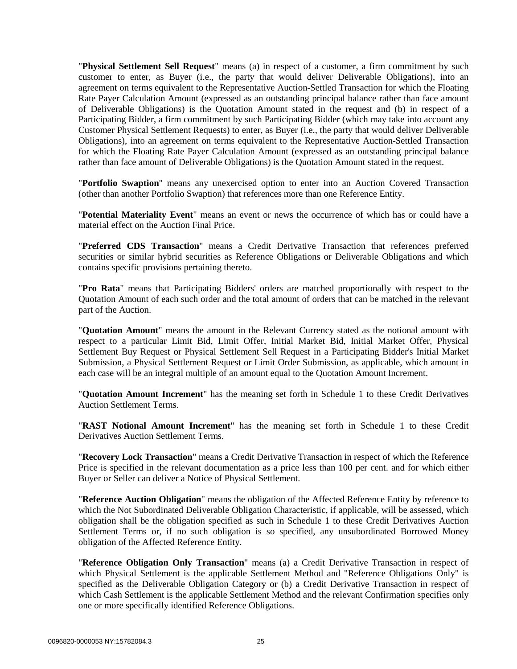"**Physical Settlement Sell Request**" means (a) in respect of a customer, a firm commitment by such customer to enter, as Buyer (i.e., the party that would deliver Deliverable Obligations), into an agreement on terms equivalent to the Representative Auction-Settled Transaction for which the Floating Rate Payer Calculation Amount (expressed as an outstanding principal balance rather than face amount of Deliverable Obligations) is the Quotation Amount stated in the request and (b) in respect of a Participating Bidder, a firm commitment by such Participating Bidder (which may take into account any Customer Physical Settlement Requests) to enter, as Buyer (i.e., the party that would deliver Deliverable Obligations), into an agreement on terms equivalent to the Representative Auction-Settled Transaction for which the Floating Rate Payer Calculation Amount (expressed as an outstanding principal balance rather than face amount of Deliverable Obligations) is the Quotation Amount stated in the request.

"**Portfolio Swaption**" means any unexercised option to enter into an Auction Covered Transaction (other than another Portfolio Swaption) that references more than one Reference Entity.

"**Potential Materiality Event**" means an event or news the occurrence of which has or could have a material effect on the Auction Final Price.

"**Preferred CDS Transaction**" means a Credit Derivative Transaction that references preferred securities or similar hybrid securities as Reference Obligations or Deliverable Obligations and which contains specific provisions pertaining thereto.

"**Pro Rata**" means that Participating Bidders' orders are matched proportionally with respect to the Quotation Amount of each such order and the total amount of orders that can be matched in the relevant part of the Auction.

"**Quotation Amount**" means the amount in the Relevant Currency stated as the notional amount with respect to a particular Limit Bid, Limit Offer, Initial Market Bid, Initial Market Offer, Physical Settlement Buy Request or Physical Settlement Sell Request in a Participating Bidder's Initial Market Submission, a Physical Settlement Request or Limit Order Submission, as applicable, which amount in each case will be an integral multiple of an amount equal to the Quotation Amount Increment.

"**Quotation Amount Increment**" has the meaning set forth in Schedule 1 to these Credit Derivatives Auction Settlement Terms.

"**RAST Notional Amount Increment**" has the meaning set forth in Schedule 1 to these Credit Derivatives Auction Settlement Terms.

"**Recovery Lock Transaction**" means a Credit Derivative Transaction in respect of which the Reference Price is specified in the relevant documentation as a price less than 100 per cent. and for which either Buyer or Seller can deliver a Notice of Physical Settlement.

"**Reference Auction Obligation**" means the obligation of the Affected Reference Entity by reference to which the Not Subordinated Deliverable Obligation Characteristic, if applicable, will be assessed, which obligation shall be the obligation specified as such in Schedule 1 to these Credit Derivatives Auction Settlement Terms or, if no such obligation is so specified, any unsubordinated Borrowed Money obligation of the Affected Reference Entity.

"**Reference Obligation Only Transaction**" means (a) a Credit Derivative Transaction in respect of which Physical Settlement is the applicable Settlement Method and "Reference Obligations Only" is specified as the Deliverable Obligation Category or (b) a Credit Derivative Transaction in respect of which Cash Settlement is the applicable Settlement Method and the relevant Confirmation specifies only one or more specifically identified Reference Obligations.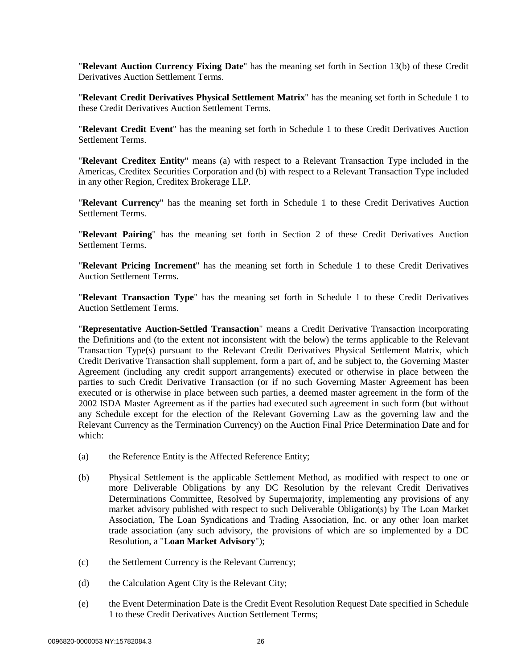"**Relevant Auction Currency Fixing Date**" has the meaning set forth in Section [13\(b\)](#page-10-0) of these Credit Derivatives Auction Settlement Terms.

"**Relevant Credit Derivatives Physical Settlement Matrix**" has the meaning set forth in Schedule 1 to these Credit Derivatives Auction Settlement Terms.

"**Relevant Credit Event**" has the meaning set forth in Schedule 1 to these Credit Derivatives Auction Settlement Terms.

"**Relevant Creditex Entity**" means (a) with respect to a Relevant Transaction Type included in the Americas, Creditex Securities Corporation and (b) with respect to a Relevant Transaction Type included in any other Region, Creditex Brokerage LLP.

"**Relevant Currency**" has the meaning set forth in Schedule 1 to these Credit Derivatives Auction Settlement Terms.

"**Relevant Pairing**" has the meaning set forth in Section [2](#page-1-1) of these Credit Derivatives Auction Settlement Terms.

"**Relevant Pricing Increment**" has the meaning set forth in Schedule 1 to these Credit Derivatives Auction Settlement Terms.

"**Relevant Transaction Type**" has the meaning set forth in Schedule 1 to these Credit Derivatives Auction Settlement Terms.

"**Representative Auction-Settled Transaction**" means a Credit Derivative Transaction incorporating the Definitions and (to the extent not inconsistent with the below) the terms applicable to the Relevant Transaction Type(s) pursuant to the Relevant Credit Derivatives Physical Settlement Matrix, which Credit Derivative Transaction shall supplement, form a part of, and be subject to, the Governing Master Agreement (including any credit support arrangements) executed or otherwise in place between the parties to such Credit Derivative Transaction (or if no such Governing Master Agreement has been executed or is otherwise in place between such parties, a deemed master agreement in the form of the 2002 ISDA Master Agreement as if the parties had executed such agreement in such form (but without any Schedule except for the election of the Relevant Governing Law as the governing law and the Relevant Currency as the Termination Currency) on the Auction Final Price Determination Date and for which:

- (a) the Reference Entity is the Affected Reference Entity;
- (b) Physical Settlement is the applicable Settlement Method, as modified with respect to one or more Deliverable Obligations by any DC Resolution by the relevant Credit Derivatives Determinations Committee, Resolved by Supermajority, implementing any provisions of any market advisory published with respect to such Deliverable Obligation(s) by The Loan Market Association, The Loan Syndications and Trading Association, Inc. or any other loan market trade association (any such advisory, the provisions of which are so implemented by a DC Resolution, a "**Loan Market Advisory**");
- (c) the Settlement Currency is the Relevant Currency;
- (d) the Calculation Agent City is the Relevant City;
- (e) the Event Determination Date is the Credit Event Resolution Request Date specified in Schedule 1 to these Credit Derivatives Auction Settlement Terms;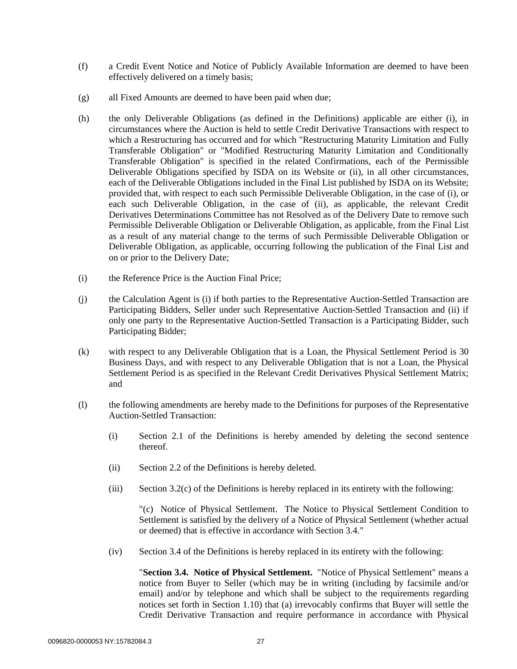- (f) a Credit Event Notice and Notice of Publicly Available Information are deemed to have been effectively delivered on a timely basis;
- (g) all Fixed Amounts are deemed to have been paid when due;
- (h) the only Deliverable Obligations (as defined in the Definitions) applicable are either (i), in circumstances where the Auction is held to settle Credit Derivative Transactions with respect to which a Restructuring has occurred and for which "Restructuring Maturity Limitation and Fully Transferable Obligation" or "Modified Restructuring Maturity Limitation and Conditionally Transferable Obligation" is specified in the related Confirmations, each of the Permissible Deliverable Obligations specified by ISDA on its Website or (ii), in all other circumstances, each of the Deliverable Obligations included in the Final List published by ISDA on its Website; provided that, with respect to each such Permissible Deliverable Obligation, in the case of (i), or each such Deliverable Obligation, in the case of (ii), as applicable, the relevant Credit Derivatives Determinations Committee has not Resolved as of the Delivery Date to remove such Permissible Deliverable Obligation or Deliverable Obligation, as applicable, from the Final List as a result of any material change to the terms of such Permissible Deliverable Obligation or Deliverable Obligation, as applicable, occurring following the publication of the Final List and on or prior to the Delivery Date;
- (i) the Reference Price is the Auction Final Price;
- (j) the Calculation Agent is (i) if both parties to the Representative Auction-Settled Transaction are Participating Bidders, Seller under such Representative Auction-Settled Transaction and (ii) if only one party to the Representative Auction-Settled Transaction is a Participating Bidder, such Participating Bidder;
- (k) with respect to any Deliverable Obligation that is a Loan, the Physical Settlement Period is 30 Business Days, and with respect to any Deliverable Obligation that is not a Loan, the Physical Settlement Period is as specified in the Relevant Credit Derivatives Physical Settlement Matrix; and
- (l) the following amendments are hereby made to the Definitions for purposes of the Representative Auction-Settled Transaction:
	- (i) Section 2.1 of the Definitions is hereby amended by deleting the second sentence thereof.
	- (ii) Section 2.2 of the Definitions is hereby deleted.
	- (iii) Section 3.2(c) of the Definitions is hereby replaced in its entirety with the following:

"(c) Notice of Physical Settlement. The Notice to Physical Settlement Condition to Settlement is satisfied by the delivery of a Notice of Physical Settlement (whether actual or deemed) that is effective in accordance with Section 3.4."

(iv) Section 3.4 of the Definitions is hereby replaced in its entirety with the following:

"**Section 3.4. Notice of Physical Settlement.** "Notice of Physical Settlement" means a notice from Buyer to Seller (which may be in writing (including by facsimile and/or email) and/or by telephone and which shall be subject to the requirements regarding notices set forth in Section 1.10) that (a) irrevocably confirms that Buyer will settle the Credit Derivative Transaction and require performance in accordance with Physical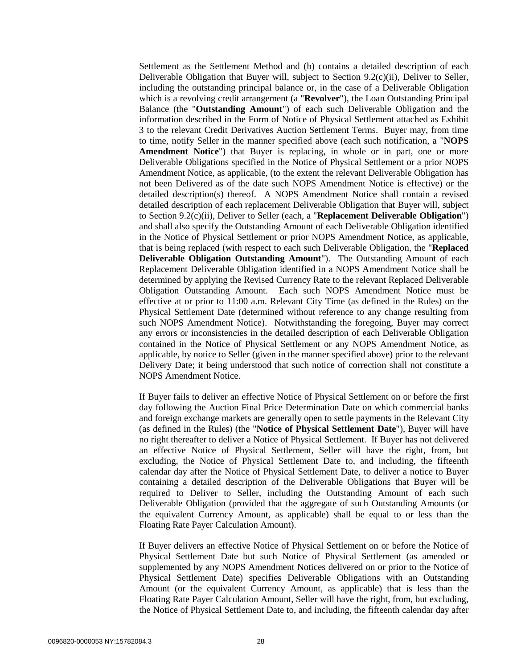Settlement as the Settlement Method and (b) contains a detailed description of each Deliverable Obligation that Buyer will, subject to Section 9.2(c)(ii), Deliver to Seller, including the outstanding principal balance or, in the case of a Deliverable Obligation which is a revolving credit arrangement (a "**Revolver**"), the Loan Outstanding Principal Balance (the "**Outstanding Amount**") of each such Deliverable Obligation and the information described in the Form of Notice of Physical Settlement attached as Exhibit 3 to the relevant Credit Derivatives Auction Settlement Terms. Buyer may, from time to time, notify Seller in the manner specified above (each such notification, a "**NOPS Amendment Notice**") that Buyer is replacing, in whole or in part, one or more Deliverable Obligations specified in the Notice of Physical Settlement or a prior NOPS Amendment Notice, as applicable, (to the extent the relevant Deliverable Obligation has not been Delivered as of the date such NOPS Amendment Notice is effective) or the detailed description(s) thereof. A NOPS Amendment Notice shall contain a revised detailed description of each replacement Deliverable Obligation that Buyer will, subject to Section 9.2(c)(ii), Deliver to Seller (each, a "**Replacement Deliverable Obligation**") and shall also specify the Outstanding Amount of each Deliverable Obligation identified in the Notice of Physical Settlement or prior NOPS Amendment Notice, as applicable, that is being replaced (with respect to each such Deliverable Obligation, the "**Replaced Deliverable Obligation Outstanding Amount**"). The Outstanding Amount of each Replacement Deliverable Obligation identified in a NOPS Amendment Notice shall be determined by applying the Revised Currency Rate to the relevant Replaced Deliverable Obligation Outstanding Amount. Each such NOPS Amendment Notice must be effective at or prior to 11:00 a.m. Relevant City Time (as defined in the Rules) on the Physical Settlement Date (determined without reference to any change resulting from such NOPS Amendment Notice). Notwithstanding the foregoing, Buyer may correct any errors or inconsistencies in the detailed description of each Deliverable Obligation contained in the Notice of Physical Settlement or any NOPS Amendment Notice, as applicable, by notice to Seller (given in the manner specified above) prior to the relevant Delivery Date; it being understood that such notice of correction shall not constitute a NOPS Amendment Notice.

If Buyer fails to deliver an effective Notice of Physical Settlement on or before the first day following the Auction Final Price Determination Date on which commercial banks and foreign exchange markets are generally open to settle payments in the Relevant City (as defined in the Rules) (the "**Notice of Physical Settlement Date**"), Buyer will have no right thereafter to deliver a Notice of Physical Settlement. If Buyer has not delivered an effective Notice of Physical Settlement, Seller will have the right, from, but excluding, the Notice of Physical Settlement Date to, and including, the fifteenth calendar day after the Notice of Physical Settlement Date, to deliver a notice to Buyer containing a detailed description of the Deliverable Obligations that Buyer will be required to Deliver to Seller, including the Outstanding Amount of each such Deliverable Obligation (provided that the aggregate of such Outstanding Amounts (or the equivalent Currency Amount, as applicable) shall be equal to or less than the Floating Rate Payer Calculation Amount).

If Buyer delivers an effective Notice of Physical Settlement on or before the Notice of Physical Settlement Date but such Notice of Physical Settlement (as amended or supplemented by any NOPS Amendment Notices delivered on or prior to the Notice of Physical Settlement Date) specifies Deliverable Obligations with an Outstanding Amount (or the equivalent Currency Amount, as applicable) that is less than the Floating Rate Payer Calculation Amount, Seller will have the right, from, but excluding, the Notice of Physical Settlement Date to, and including, the fifteenth calendar day after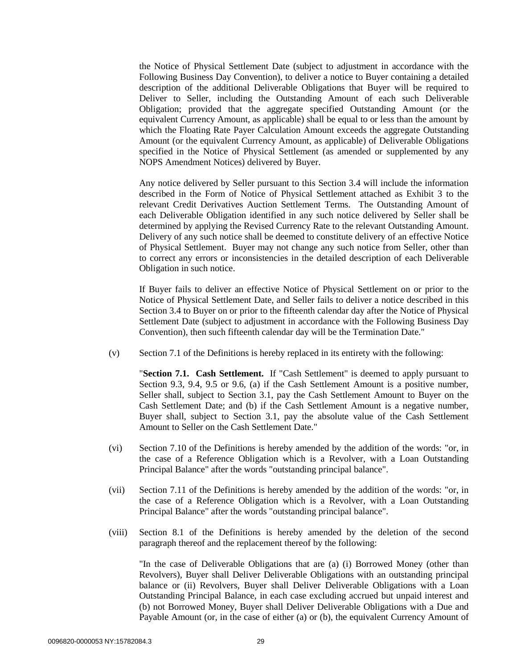the Notice of Physical Settlement Date (subject to adjustment in accordance with the Following Business Day Convention), to deliver a notice to Buyer containing a detailed description of the additional Deliverable Obligations that Buyer will be required to Deliver to Seller, including the Outstanding Amount of each such Deliverable Obligation; provided that the aggregate specified Outstanding Amount (or the equivalent Currency Amount, as applicable) shall be equal to or less than the amount by which the Floating Rate Payer Calculation Amount exceeds the aggregate Outstanding Amount (or the equivalent Currency Amount, as applicable) of Deliverable Obligations specified in the Notice of Physical Settlement (as amended or supplemented by any NOPS Amendment Notices) delivered by Buyer.

Any notice delivered by Seller pursuant to this Section 3.4 will include the information described in the Form of Notice of Physical Settlement attached as Exhibit 3 to the relevant Credit Derivatives Auction Settlement Terms. The Outstanding Amount of each Deliverable Obligation identified in any such notice delivered by Seller shall be determined by applying the Revised Currency Rate to the relevant Outstanding Amount. Delivery of any such notice shall be deemed to constitute delivery of an effective Notice of Physical Settlement. Buyer may not change any such notice from Seller, other than to correct any errors or inconsistencies in the detailed description of each Deliverable Obligation in such notice.

If Buyer fails to deliver an effective Notice of Physical Settlement on or prior to the Notice of Physical Settlement Date, and Seller fails to deliver a notice described in this Section 3.4 to Buyer on or prior to the fifteenth calendar day after the Notice of Physical Settlement Date (subject to adjustment in accordance with the Following Business Day Convention), then such fifteenth calendar day will be the Termination Date."

(v) Section 7.1 of the Definitions is hereby replaced in its entirety with the following:

"**Section 7.1. Cash Settlement.** If "Cash Settlement" is deemed to apply pursuant to Section 9.3, 9.4, 9.5 or 9.6, (a) if the Cash Settlement Amount is a positive number, Seller shall, subject to Section 3.1, pay the Cash Settlement Amount to Buyer on the Cash Settlement Date; and (b) if the Cash Settlement Amount is a negative number, Buyer shall, subject to Section 3.1, pay the absolute value of the Cash Settlement Amount to Seller on the Cash Settlement Date."

- (vi) Section 7.10 of the Definitions is hereby amended by the addition of the words: "or, in the case of a Reference Obligation which is a Revolver, with a Loan Outstanding Principal Balance" after the words "outstanding principal balance".
- (vii) Section 7.11 of the Definitions is hereby amended by the addition of the words: "or, in the case of a Reference Obligation which is a Revolver, with a Loan Outstanding Principal Balance" after the words "outstanding principal balance".
- (viii) Section 8.1 of the Definitions is hereby amended by the deletion of the second paragraph thereof and the replacement thereof by the following:

"In the case of Deliverable Obligations that are (a) (i) Borrowed Money (other than Revolvers), Buyer shall Deliver Deliverable Obligations with an outstanding principal balance or (ii) Revolvers, Buyer shall Deliver Deliverable Obligations with a Loan Outstanding Principal Balance, in each case excluding accrued but unpaid interest and (b) not Borrowed Money, Buyer shall Deliver Deliverable Obligations with a Due and Payable Amount (or, in the case of either (a) or (b), the equivalent Currency Amount of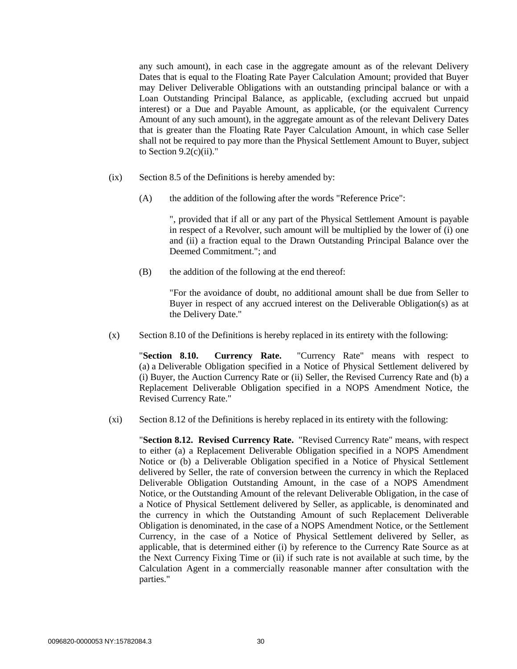any such amount), in each case in the aggregate amount as of the relevant Delivery Dates that is equal to the Floating Rate Payer Calculation Amount; provided that Buyer may Deliver Deliverable Obligations with an outstanding principal balance or with a Loan Outstanding Principal Balance, as applicable, (excluding accrued but unpaid interest) or a Due and Payable Amount, as applicable, (or the equivalent Currency Amount of any such amount), in the aggregate amount as of the relevant Delivery Dates that is greater than the Floating Rate Payer Calculation Amount, in which case Seller shall not be required to pay more than the Physical Settlement Amount to Buyer, subject to Section  $9.2(c)(ii)$ ."

- (ix) Section 8.5 of the Definitions is hereby amended by:
	- (A) the addition of the following after the words "Reference Price":

", provided that if all or any part of the Physical Settlement Amount is payable in respect of a Revolver, such amount will be multiplied by the lower of (i) one and (ii) a fraction equal to the Drawn Outstanding Principal Balance over the Deemed Commitment."; and

(B) the addition of the following at the end thereof:

"For the avoidance of doubt, no additional amount shall be due from Seller to Buyer in respect of any accrued interest on the Deliverable Obligation(s) as at the Delivery Date."

(x) Section 8.10 of the Definitions is hereby replaced in its entirety with the following:

"**Section 8.10. Currency Rate.** "Currency Rate" means with respect to (a) a Deliverable Obligation specified in a Notice of Physical Settlement delivered by (i) Buyer, the Auction Currency Rate or (ii) Seller, the Revised Currency Rate and (b) a Replacement Deliverable Obligation specified in a NOPS Amendment Notice, the Revised Currency Rate."

(xi) Section 8.12 of the Definitions is hereby replaced in its entirety with the following:

"**Section 8.12. Revised Currency Rate.** "Revised Currency Rate" means, with respect to either (a) a Replacement Deliverable Obligation specified in a NOPS Amendment Notice or (b) a Deliverable Obligation specified in a Notice of Physical Settlement delivered by Seller, the rate of conversion between the currency in which the Replaced Deliverable Obligation Outstanding Amount, in the case of a NOPS Amendment Notice, or the Outstanding Amount of the relevant Deliverable Obligation, in the case of a Notice of Physical Settlement delivered by Seller, as applicable, is denominated and the currency in which the Outstanding Amount of such Replacement Deliverable Obligation is denominated, in the case of a NOPS Amendment Notice, or the Settlement Currency, in the case of a Notice of Physical Settlement delivered by Seller, as applicable, that is determined either (i) by reference to the Currency Rate Source as at the Next Currency Fixing Time or (ii) if such rate is not available at such time, by the Calculation Agent in a commercially reasonable manner after consultation with the parties."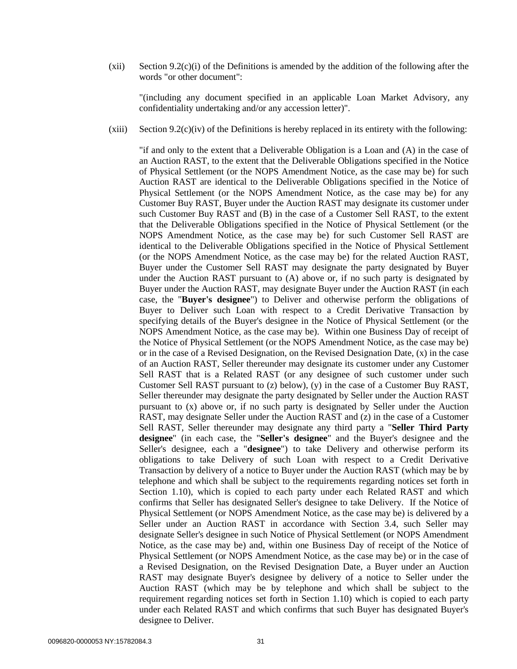(xii) Section 9.2(c)(i) of the Definitions is amended by the addition of the following after the words "or other document":

"(including any document specified in an applicable Loan Market Advisory, any confidentiality undertaking and/or any accession letter)".

 $(xiii)$  Section 9.2(c)(iv) of the Definitions is hereby replaced in its entirety with the following:

"if and only to the extent that a Deliverable Obligation is a Loan and (A) in the case of an Auction RAST, to the extent that the Deliverable Obligations specified in the Notice of Physical Settlement (or the NOPS Amendment Notice, as the case may be) for such Auction RAST are identical to the Deliverable Obligations specified in the Notice of Physical Settlement (or the NOPS Amendment Notice, as the case may be) for any Customer Buy RAST, Buyer under the Auction RAST may designate its customer under such Customer Buy RAST and (B) in the case of a Customer Sell RAST, to the extent that the Deliverable Obligations specified in the Notice of Physical Settlement (or the NOPS Amendment Notice, as the case may be) for such Customer Sell RAST are identical to the Deliverable Obligations specified in the Notice of Physical Settlement (or the NOPS Amendment Notice, as the case may be) for the related Auction RAST, Buyer under the Customer Sell RAST may designate the party designated by Buyer under the Auction RAST pursuant to (A) above or, if no such party is designated by Buyer under the Auction RAST, may designate Buyer under the Auction RAST (in each case, the "**Buyer's designee**") to Deliver and otherwise perform the obligations of Buyer to Deliver such Loan with respect to a Credit Derivative Transaction by specifying details of the Buyer's designee in the Notice of Physical Settlement (or the NOPS Amendment Notice, as the case may be). Within one Business Day of receipt of the Notice of Physical Settlement (or the NOPS Amendment Notice, as the case may be) or in the case of a Revised Designation, on the Revised Designation Date, (x) in the case of an Auction RAST, Seller thereunder may designate its customer under any Customer Sell RAST that is a Related RAST (or any designee of such customer under such Customer Sell RAST pursuant to (z) below), (y) in the case of a Customer Buy RAST, Seller thereunder may designate the party designated by Seller under the Auction RAST pursuant to (x) above or, if no such party is designated by Seller under the Auction RAST, may designate Seller under the Auction RAST and (z) in the case of a Customer Sell RAST, Seller thereunder may designate any third party a "**Seller Third Party designee**" (in each case, the "**Seller's designee**" and the Buyer's designee and the Seller's designee, each a "**designee**") to take Delivery and otherwise perform its obligations to take Delivery of such Loan with respect to a Credit Derivative Transaction by delivery of a notice to Buyer under the Auction RAST (which may be by telephone and which shall be subject to the requirements regarding notices set forth in Section 1.10), which is copied to each party under each Related RAST and which confirms that Seller has designated Seller's designee to take Delivery. If the Notice of Physical Settlement (or NOPS Amendment Notice, as the case may be) is delivered by a Seller under an Auction RAST in accordance with Section 3.4, such Seller may designate Seller's designee in such Notice of Physical Settlement (or NOPS Amendment Notice, as the case may be) and, within one Business Day of receipt of the Notice of Physical Settlement (or NOPS Amendment Notice, as the case may be) or in the case of a Revised Designation, on the Revised Designation Date, a Buyer under an Auction RAST may designate Buyer's designee by delivery of a notice to Seller under the Auction RAST (which may be by telephone and which shall be subject to the requirement regarding notices set forth in Section 1.10) which is copied to each party under each Related RAST and which confirms that such Buyer has designated Buyer's designee to Deliver.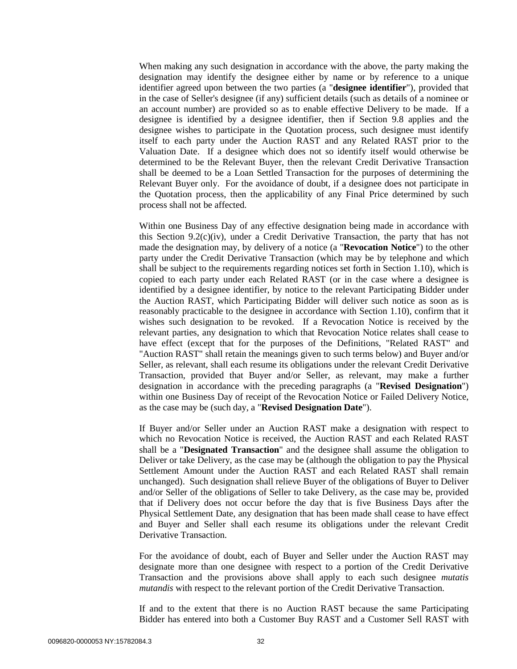When making any such designation in accordance with the above, the party making the designation may identify the designee either by name or by reference to a unique identifier agreed upon between the two parties (a "**designee identifier**"), provided that in the case of Seller's designee (if any) sufficient details (such as details of a nominee or an account number) are provided so as to enable effective Delivery to be made. If a designee is identified by a designee identifier, then if Section 9.8 applies and the designee wishes to participate in the Quotation process, such designee must identify itself to each party under the Auction RAST and any Related RAST prior to the Valuation Date. If a designee which does not so identify itself would otherwise be determined to be the Relevant Buyer, then the relevant Credit Derivative Transaction shall be deemed to be a Loan Settled Transaction for the purposes of determining the Relevant Buyer only. For the avoidance of doubt, if a designee does not participate in the Quotation process, then the applicability of any Final Price determined by such process shall not be affected.

Within one Business Day of any effective designation being made in accordance with this Section 9.2(c)(iv), under a Credit Derivative Transaction, the party that has not made the designation may, by delivery of a notice (a "**Revocation Notice**") to the other party under the Credit Derivative Transaction (which may be by telephone and which shall be subject to the requirements regarding notices set forth in Section 1.10), which is copied to each party under each Related RAST (or in the case where a designee is identified by a designee identifier, by notice to the relevant Participating Bidder under the Auction RAST, which Participating Bidder will deliver such notice as soon as is reasonably practicable to the designee in accordance with Section 1.10), confirm that it wishes such designation to be revoked. If a Revocation Notice is received by the relevant parties, any designation to which that Revocation Notice relates shall cease to have effect (except that for the purposes of the Definitions, "Related RAST" and "Auction RAST" shall retain the meanings given to such terms below) and Buyer and/or Seller, as relevant, shall each resume its obligations under the relevant Credit Derivative Transaction, provided that Buyer and/or Seller, as relevant, may make a further designation in accordance with the preceding paragraphs (a "**Revised Designation**") within one Business Day of receipt of the Revocation Notice or Failed Delivery Notice, as the case may be (such day, a "**Revised Designation Date**").

If Buyer and/or Seller under an Auction RAST make a designation with respect to which no Revocation Notice is received, the Auction RAST and each Related RAST shall be a "**Designated Transaction**" and the designee shall assume the obligation to Deliver or take Delivery, as the case may be (although the obligation to pay the Physical Settlement Amount under the Auction RAST and each Related RAST shall remain unchanged). Such designation shall relieve Buyer of the obligations of Buyer to Deliver and/or Seller of the obligations of Seller to take Delivery, as the case may be, provided that if Delivery does not occur before the day that is five Business Days after the Physical Settlement Date, any designation that has been made shall cease to have effect and Buyer and Seller shall each resume its obligations under the relevant Credit Derivative Transaction.

For the avoidance of doubt, each of Buyer and Seller under the Auction RAST may designate more than one designee with respect to a portion of the Credit Derivative Transaction and the provisions above shall apply to each such designee *mutatis mutandis* with respect to the relevant portion of the Credit Derivative Transaction.

If and to the extent that there is no Auction RAST because the same Participating Bidder has entered into both a Customer Buy RAST and a Customer Sell RAST with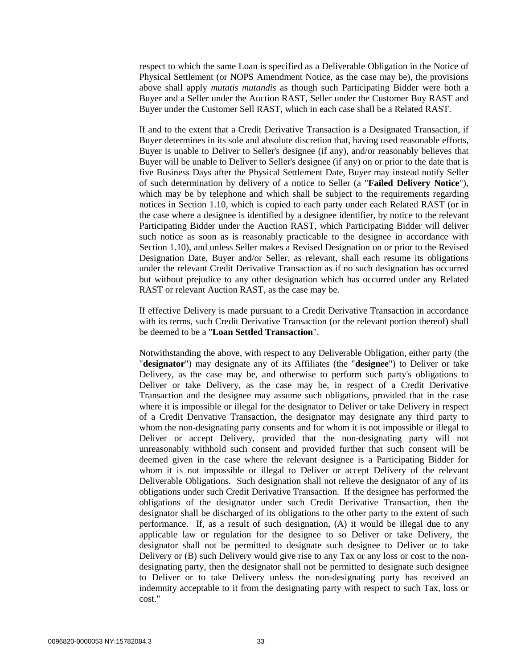respect to which the same Loan is specified as a Deliverable Obligation in the Notice of Physical Settlement (or NOPS Amendment Notice, as the case may be), the provisions above shall apply *mutatis mutandis* as though such Participating Bidder were both a Buyer and a Seller under the Auction RAST, Seller under the Customer Buy RAST and Buyer under the Customer Sell RAST, which in each case shall be a Related RAST.

If and to the extent that a Credit Derivative Transaction is a Designated Transaction, if Buyer determines in its sole and absolute discretion that, having used reasonable efforts, Buyer is unable to Deliver to Seller's designee (if any), and/or reasonably believes that Buyer will be unable to Deliver to Seller's designee (if any) on or prior to the date that is five Business Days after the Physical Settlement Date, Buyer may instead notify Seller of such determination by delivery of a notice to Seller (a "**Failed Delivery Notice**"), which may be by telephone and which shall be subject to the requirements regarding notices in Section 1.10, which is copied to each party under each Related RAST (or in the case where a designee is identified by a designee identifier, by notice to the relevant Participating Bidder under the Auction RAST, which Participating Bidder will deliver such notice as soon as is reasonably practicable to the designee in accordance with Section 1.10), and unless Seller makes a Revised Designation on or prior to the Revised Designation Date, Buyer and/or Seller, as relevant, shall each resume its obligations under the relevant Credit Derivative Transaction as if no such designation has occurred but without prejudice to any other designation which has occurred under any Related RAST or relevant Auction RAST, as the case may be.

If effective Delivery is made pursuant to a Credit Derivative Transaction in accordance with its terms, such Credit Derivative Transaction (or the relevant portion thereof) shall be deemed to be a "**Loan Settled Transaction**".

Notwithstanding the above, with respect to any Deliverable Obligation, either party (the "**designator**") may designate any of its Affiliates (the "**designee**") to Deliver or take Delivery, as the case may be, and otherwise to perform such party's obligations to Deliver or take Delivery, as the case may be, in respect of a Credit Derivative Transaction and the designee may assume such obligations, provided that in the case where it is impossible or illegal for the designator to Deliver or take Delivery in respect of a Credit Derivative Transaction, the designator may designate any third party to whom the non-designating party consents and for whom it is not impossible or illegal to Deliver or accept Delivery, provided that the non-designating party will not unreasonably withhold such consent and provided further that such consent will be deemed given in the case where the relevant designee is a Participating Bidder for whom it is not impossible or illegal to Deliver or accept Delivery of the relevant Deliverable Obligations. Such designation shall not relieve the designator of any of its obligations under such Credit Derivative Transaction. If the designee has performed the obligations of the designator under such Credit Derivative Transaction, then the designator shall be discharged of its obligations to the other party to the extent of such performance. If, as a result of such designation, (A) it would be illegal due to any applicable law or regulation for the designee to so Deliver or take Delivery, the designator shall not be permitted to designate such designee to Deliver or to take Delivery or (B) such Delivery would give rise to any Tax or any loss or cost to the nondesignating party, then the designator shall not be permitted to designate such designee to Deliver or to take Delivery unless the non-designating party has received an indemnity acceptable to it from the designating party with respect to such Tax, loss or cost."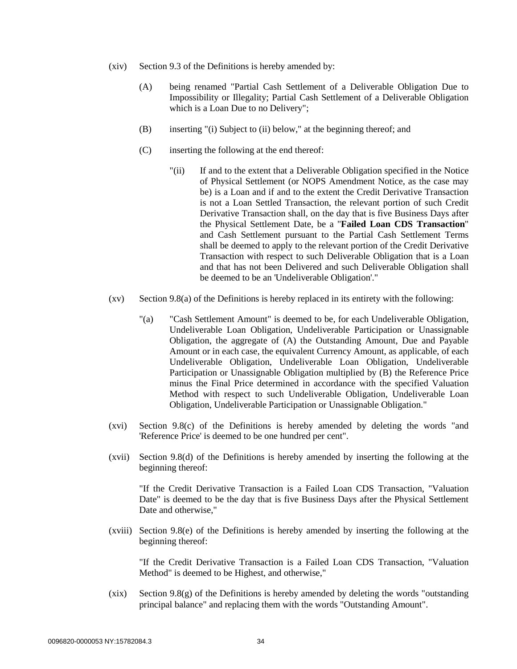- (xiv) Section 9.3 of the Definitions is hereby amended by:
	- (A) being renamed "Partial Cash Settlement of a Deliverable Obligation Due to Impossibility or Illegality; Partial Cash Settlement of a Deliverable Obligation which is a Loan Due to no Delivery";
	- (B) inserting "(i) Subject to (ii) below," at the beginning thereof; and
	- (C) inserting the following at the end thereof:
		- "(ii) If and to the extent that a Deliverable Obligation specified in the Notice of Physical Settlement (or NOPS Amendment Notice, as the case may be) is a Loan and if and to the extent the Credit Derivative Transaction is not a Loan Settled Transaction, the relevant portion of such Credit Derivative Transaction shall, on the day that is five Business Days after the Physical Settlement Date, be a "**Failed Loan CDS Transaction**" and Cash Settlement pursuant to the Partial Cash Settlement Terms shall be deemed to apply to the relevant portion of the Credit Derivative Transaction with respect to such Deliverable Obligation that is a Loan and that has not been Delivered and such Deliverable Obligation shall be deemed to be an 'Undeliverable Obligation'."
- $(xv)$  Section 9.8(a) of the Definitions is hereby replaced in its entirety with the following:
	- "(a) "Cash Settlement Amount" is deemed to be, for each Undeliverable Obligation, Undeliverable Loan Obligation, Undeliverable Participation or Unassignable Obligation, the aggregate of (A) the Outstanding Amount, Due and Payable Amount or in each case, the equivalent Currency Amount, as applicable, of each Undeliverable Obligation, Undeliverable Loan Obligation, Undeliverable Participation or Unassignable Obligation multiplied by (B) the Reference Price minus the Final Price determined in accordance with the specified Valuation Method with respect to such Undeliverable Obligation, Undeliverable Loan Obligation, Undeliverable Participation or Unassignable Obligation."
- (xvi) Section 9.8(c) of the Definitions is hereby amended by deleting the words "and 'Reference Price' is deemed to be one hundred per cent".
- (xvii) Section 9.8(d) of the Definitions is hereby amended by inserting the following at the beginning thereof:

"If the Credit Derivative Transaction is a Failed Loan CDS Transaction, "Valuation Date" is deemed to be the day that is five Business Days after the Physical Settlement Date and otherwise,"

(xviii) Section 9.8(e) of the Definitions is hereby amended by inserting the following at the beginning thereof:

"If the Credit Derivative Transaction is a Failed Loan CDS Transaction, "Valuation Method" is deemed to be Highest, and otherwise,"

(xix) Section 9.8(g) of the Definitions is hereby amended by deleting the words "outstanding principal balance" and replacing them with the words "Outstanding Amount".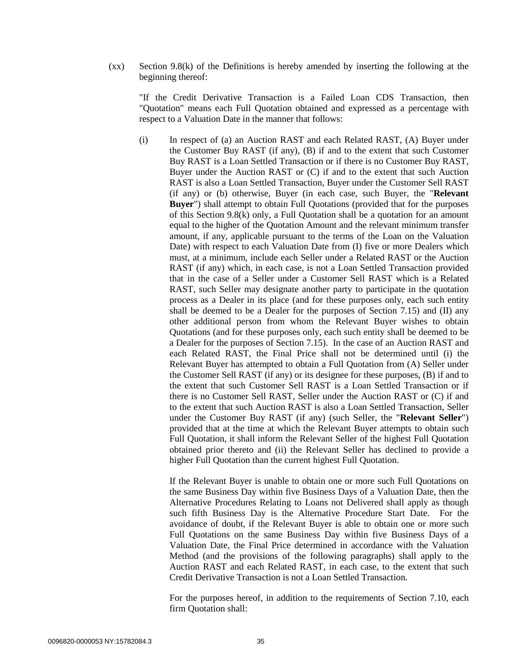(xx) Section 9.8(k) of the Definitions is hereby amended by inserting the following at the beginning thereof:

"If the Credit Derivative Transaction is a Failed Loan CDS Transaction, then "Quotation" means each Full Quotation obtained and expressed as a percentage with respect to a Valuation Date in the manner that follows:

(i) In respect of (a) an Auction RAST and each Related RAST, (A) Buyer under the Customer Buy RAST (if any), (B) if and to the extent that such Customer Buy RAST is a Loan Settled Transaction or if there is no Customer Buy RAST, Buyer under the Auction RAST or (C) if and to the extent that such Auction RAST is also a Loan Settled Transaction, Buyer under the Customer Sell RAST (if any) or (b) otherwise, Buyer (in each case, such Buyer, the "**Relevant Buyer**") shall attempt to obtain Full Quotations (provided that for the purposes of this Section 9.8(k) only, a Full Quotation shall be a quotation for an amount equal to the higher of the Quotation Amount and the relevant minimum transfer amount, if any, applicable pursuant to the terms of the Loan on the Valuation Date) with respect to each Valuation Date from (I) five or more Dealers which must, at a minimum, include each Seller under a Related RAST or the Auction RAST (if any) which, in each case, is not a Loan Settled Transaction provided that in the case of a Seller under a Customer Sell RAST which is a Related RAST, such Seller may designate another party to participate in the quotation process as a Dealer in its place (and for these purposes only, each such entity shall be deemed to be a Dealer for the purposes of Section 7.15) and (II) any other additional person from whom the Relevant Buyer wishes to obtain Quotations (and for these purposes only, each such entity shall be deemed to be a Dealer for the purposes of Section 7.15). In the case of an Auction RAST and each Related RAST, the Final Price shall not be determined until (i) the Relevant Buyer has attempted to obtain a Full Quotation from (A) Seller under the Customer Sell RAST (if any) or its designee for these purposes, (B) if and to the extent that such Customer Sell RAST is a Loan Settled Transaction or if there is no Customer Sell RAST, Seller under the Auction RAST or (C) if and to the extent that such Auction RAST is also a Loan Settled Transaction, Seller under the Customer Buy RAST (if any) (such Seller, the "**Relevant Seller**") provided that at the time at which the Relevant Buyer attempts to obtain such Full Quotation, it shall inform the Relevant Seller of the highest Full Quotation obtained prior thereto and (ii) the Relevant Seller has declined to provide a higher Full Quotation than the current highest Full Quotation.

If the Relevant Buyer is unable to obtain one or more such Full Quotations on the same Business Day within five Business Days of a Valuation Date, then the Alternative Procedures Relating to Loans not Delivered shall apply as though such fifth Business Day is the Alternative Procedure Start Date. For the avoidance of doubt, if the Relevant Buyer is able to obtain one or more such Full Quotations on the same Business Day within five Business Days of a Valuation Date, the Final Price determined in accordance with the Valuation Method (and the provisions of the following paragraphs) shall apply to the Auction RAST and each Related RAST, in each case, to the extent that such Credit Derivative Transaction is not a Loan Settled Transaction.

For the purposes hereof, in addition to the requirements of Section 7.10, each firm Quotation shall: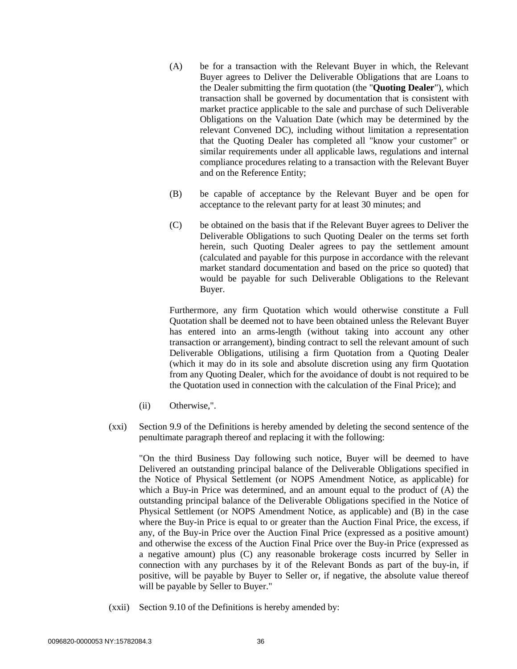- (A) be for a transaction with the Relevant Buyer in which, the Relevant Buyer agrees to Deliver the Deliverable Obligations that are Loans to the Dealer submitting the firm quotation (the "**Quoting Dealer**"), which transaction shall be governed by documentation that is consistent with market practice applicable to the sale and purchase of such Deliverable Obligations on the Valuation Date (which may be determined by the relevant Convened DC), including without limitation a representation that the Quoting Dealer has completed all "know your customer" or similar requirements under all applicable laws, regulations and internal compliance procedures relating to a transaction with the Relevant Buyer and on the Reference Entity;
- (B) be capable of acceptance by the Relevant Buyer and be open for acceptance to the relevant party for at least 30 minutes; and
- (C) be obtained on the basis that if the Relevant Buyer agrees to Deliver the Deliverable Obligations to such Quoting Dealer on the terms set forth herein, such Quoting Dealer agrees to pay the settlement amount (calculated and payable for this purpose in accordance with the relevant market standard documentation and based on the price so quoted) that would be payable for such Deliverable Obligations to the Relevant Buyer.

Furthermore, any firm Quotation which would otherwise constitute a Full Quotation shall be deemed not to have been obtained unless the Relevant Buyer has entered into an arms-length (without taking into account any other transaction or arrangement), binding contract to sell the relevant amount of such Deliverable Obligations, utilising a firm Quotation from a Quoting Dealer (which it may do in its sole and absolute discretion using any firm Quotation from any Quoting Dealer, which for the avoidance of doubt is not required to be the Quotation used in connection with the calculation of the Final Price); and

- (ii) Otherwise,".
- (xxi) Section 9.9 of the Definitions is hereby amended by deleting the second sentence of the penultimate paragraph thereof and replacing it with the following:

"On the third Business Day following such notice, Buyer will be deemed to have Delivered an outstanding principal balance of the Deliverable Obligations specified in the Notice of Physical Settlement (or NOPS Amendment Notice, as applicable) for which a Buy-in Price was determined, and an amount equal to the product of (A) the outstanding principal balance of the Deliverable Obligations specified in the Notice of Physical Settlement (or NOPS Amendment Notice, as applicable) and (B) in the case where the Buy-in Price is equal to or greater than the Auction Final Price, the excess, if any, of the Buy-in Price over the Auction Final Price (expressed as a positive amount) and otherwise the excess of the Auction Final Price over the Buy-in Price (expressed as a negative amount) plus (C) any reasonable brokerage costs incurred by Seller in connection with any purchases by it of the Relevant Bonds as part of the buy-in, if positive, will be payable by Buyer to Seller or, if negative, the absolute value thereof will be payable by Seller to Buyer."

(xxii) Section 9.10 of the Definitions is hereby amended by: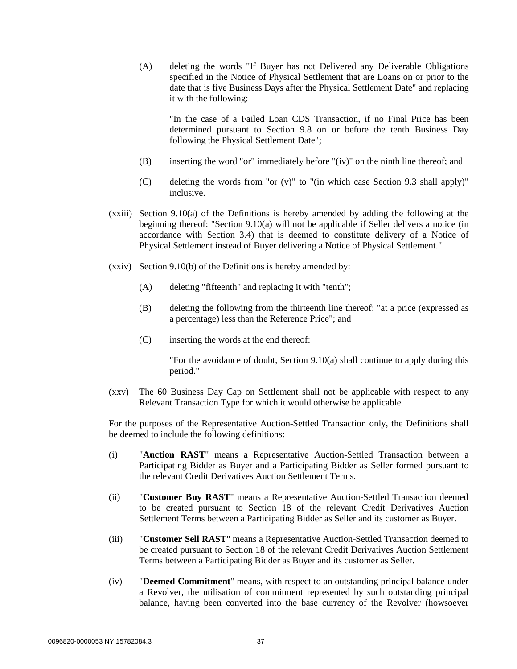(A) deleting the words "If Buyer has not Delivered any Deliverable Obligations specified in the Notice of Physical Settlement that are Loans on or prior to the date that is five Business Days after the Physical Settlement Date" and replacing it with the following:

"In the case of a Failed Loan CDS Transaction, if no Final Price has been determined pursuant to Section 9.8 on or before the tenth Business Day following the Physical Settlement Date";

- (B) inserting the word "or" immediately before "(iv)" on the ninth line thereof; and
- (C) deleting the words from "or  $(v)$ " to "(in which case Section 9.3 shall apply)" inclusive.
- (xxiii) Section 9.10(a) of the Definitions is hereby amended by adding the following at the beginning thereof: "Section 9.10(a) will not be applicable if Seller delivers a notice (in accordance with Section 3.4) that is deemed to constitute delivery of a Notice of Physical Settlement instead of Buyer delivering a Notice of Physical Settlement."
- (xxiv) Section 9.10(b) of the Definitions is hereby amended by:
	- (A) deleting "fifteenth" and replacing it with "tenth";
	- (B) deleting the following from the thirteenth line thereof: "at a price (expressed as a percentage) less than the Reference Price"; and
	- (C) inserting the words at the end thereof:

"For the avoidance of doubt, Section 9.10(a) shall continue to apply during this period."

(xxv) The 60 Business Day Cap on Settlement shall not be applicable with respect to any Relevant Transaction Type for which it would otherwise be applicable.

For the purposes of the Representative Auction-Settled Transaction only, the Definitions shall be deemed to include the following definitions:

- (i) "**Auction RAST**" means a Representative Auction-Settled Transaction between a Participating Bidder as Buyer and a Participating Bidder as Seller formed pursuant to the relevant Credit Derivatives Auction Settlement Terms.
- (ii) "**Customer Buy RAST**" means a Representative Auction-Settled Transaction deemed to be created pursuant to Section 18 of the relevant Credit Derivatives Auction Settlement Terms between a Participating Bidder as Seller and its customer as Buyer.
- (iii) "**Customer Sell RAST**" means a Representative Auction-Settled Transaction deemed to be created pursuant to Section 18 of the relevant Credit Derivatives Auction Settlement Terms between a Participating Bidder as Buyer and its customer as Seller.
- (iv) "**Deemed Commitment**" means, with respect to an outstanding principal balance under a Revolver, the utilisation of commitment represented by such outstanding principal balance, having been converted into the base currency of the Revolver (howsoever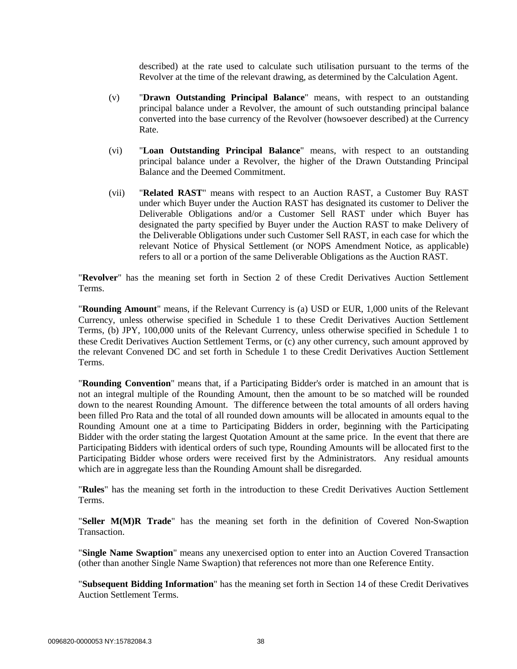described) at the rate used to calculate such utilisation pursuant to the terms of the Revolver at the time of the relevant drawing, as determined by the Calculation Agent.

- (v) "**Drawn Outstanding Principal Balance**" means, with respect to an outstanding principal balance under a Revolver, the amount of such outstanding principal balance converted into the base currency of the Revolver (howsoever described) at the Currency Rate.
- (vi) "**Loan Outstanding Principal Balance**" means, with respect to an outstanding principal balance under a Revolver, the higher of the Drawn Outstanding Principal Balance and the Deemed Commitment.
- (vii) "**Related RAST**" means with respect to an Auction RAST, a Customer Buy RAST under which Buyer under the Auction RAST has designated its customer to Deliver the Deliverable Obligations and/or a Customer Sell RAST under which Buyer has designated the party specified by Buyer under the Auction RAST to make Delivery of the Deliverable Obligations under such Customer Sell RAST, in each case for which the relevant Notice of Physical Settlement (or NOPS Amendment Notice, as applicable) refers to all or a portion of the same Deliverable Obligations as the Auction RAST.

"**Revolver**" has the meaning set forth in Section [2](#page-1-1) of these Credit Derivatives Auction Settlement Terms.

"**Rounding Amount**" means, if the Relevant Currency is (a) USD or EUR, 1,000 units of the Relevant Currency, unless otherwise specified in Schedule 1 to these Credit Derivatives Auction Settlement Terms, (b) JPY, 100,000 units of the Relevant Currency, unless otherwise specified in Schedule 1 to these Credit Derivatives Auction Settlement Terms, or (c) any other currency, such amount approved by the relevant Convened DC and set forth in Schedule 1 to these Credit Derivatives Auction Settlement Terms.

"**Rounding Convention**" means that, if a Participating Bidder's order is matched in an amount that is not an integral multiple of the Rounding Amount, then the amount to be so matched will be rounded down to the nearest Rounding Amount. The difference between the total amounts of all orders having been filled Pro Rata and the total of all rounded down amounts will be allocated in amounts equal to the Rounding Amount one at a time to Participating Bidders in order, beginning with the Participating Bidder with the order stating the largest Quotation Amount at the same price. In the event that there are Participating Bidders with identical orders of such type, Rounding Amounts will be allocated first to the Participating Bidder whose orders were received first by the Administrators. Any residual amounts which are in aggregate less than the Rounding Amount shall be disregarded.

"**Rules**" has the meaning set forth in the introduction to these Credit Derivatives Auction Settlement Terms.

"**Seller M(M)R Trade**" has the meaning set forth in the definition of Covered Non-Swaption **Transaction** 

"**Single Name Swaption**" means any unexercised option to enter into an Auction Covered Transaction (other than another Single Name Swaption) that references not more than one Reference Entity.

"**Subsequent Bidding Information**" has the meaning set forth in Section [14](#page-11-2) of these Credit Derivatives Auction Settlement Terms.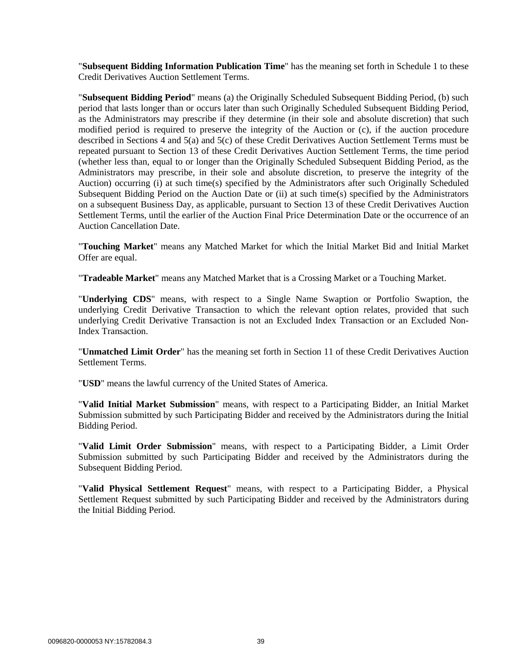"**Subsequent Bidding Information Publication Time**" has the meaning set forth in Schedule 1 to these Credit Derivatives Auction Settlement Terms.

"**Subsequent Bidding Period**" means (a) the Originally Scheduled Subsequent Bidding Period, (b) such period that lasts longer than or occurs later than such Originally Scheduled Subsequent Bidding Period, as the Administrators may prescribe if they determine (in their sole and absolute discretion) that such modified period is required to preserve the integrity of the Auction or (c), if the auction procedure described in Sections [4](#page-2-1) and [5\(a\)](#page-3-0) and [5\(c\)](#page-3-2) of these Credit Derivatives Auction Settlement Terms must be repeated pursuant to Section 13 of these Credit Derivatives Auction Settlement Terms, the time period (whether less than, equal to or longer than the Originally Scheduled Subsequent Bidding Period, as the Administrators may prescribe, in their sole and absolute discretion, to preserve the integrity of the Auction) occurring (i) at such time(s) specified by the Administrators after such Originally Scheduled Subsequent Bidding Period on the Auction Date or (ii) at such time(s) specified by the Administrators on a subsequent Business Day, as applicable, pursuant to Section 13 of these Credit Derivatives Auction Settlement Terms, until the earlier of the Auction Final Price Determination Date or the occurrence of an Auction Cancellation Date.

"**Touching Market**" means any Matched Market for which the Initial Market Bid and Initial Market Offer are equal.

"**Tradeable Market**" means any Matched Market that is a Crossing Market or a Touching Market.

"**Underlying CDS**" means, with respect to a Single Name Swaption or Portfolio Swaption, the underlying Credit Derivative Transaction to which the relevant option relates, provided that such underlying Credit Derivative Transaction is not an Excluded Index Transaction or an Excluded Non-Index Transaction.

"**Unmatched Limit Order**" has the meaning set forth in Section [11](#page-6-0) of these Credit Derivatives Auction Settlement Terms.

"**USD**" means the lawful currency of the United States of America.

"**Valid Initial Market Submission**" means, with respect to a Participating Bidder, an Initial Market Submission submitted by such Participating Bidder and received by the Administrators during the Initial Bidding Period.

"**Valid Limit Order Submission**" means, with respect to a Participating Bidder, a Limit Order Submission submitted by such Participating Bidder and received by the Administrators during the Subsequent Bidding Period.

"**Valid Physical Settlement Request**" means, with respect to a Participating Bidder, a Physical Settlement Request submitted by such Participating Bidder and received by the Administrators during the Initial Bidding Period.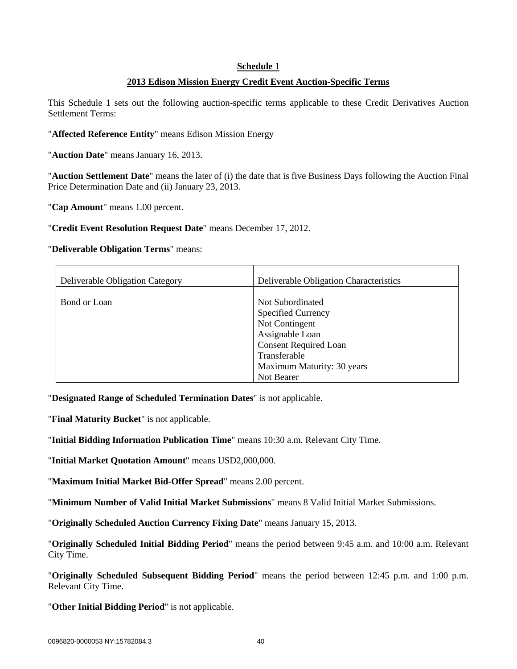#### **Schedule 1**

# **2013 Edison Mission Energy Credit Event Auction-Specific Terms**

This Schedule 1 sets out the following auction-specific terms applicable to these Credit Derivatives Auction Settlement Terms:

"**Affected Reference Entity**" means Edison Mission Energy

"**Auction Date**" means January 16, 2013.

"**Auction Settlement Date**" means the later of (i) the date that is five Business Days following the Auction Final Price Determination Date and (ii) January 23, 2013.

"**Cap Amount**" means 1.00 percent.

"**Credit Event Resolution Request Date**" means December 17, 2012.

#### "**Deliverable Obligation Terms**" means:

| Deliverable Obligation Category | Deliverable Obligation Characteristics                                                                                                                                         |
|---------------------------------|--------------------------------------------------------------------------------------------------------------------------------------------------------------------------------|
| Bond or Loan                    | Not Subordinated<br><b>Specified Currency</b><br>Not Contingent<br>Assignable Loan<br><b>Consent Required Loan</b><br>Transferable<br>Maximum Maturity: 30 years<br>Not Bearer |

"**Designated Range of Scheduled Termination Dates**" is not applicable.

"**Final Maturity Bucket**" is not applicable.

"**Initial Bidding Information Publication Time**" means 10:30 a.m. Relevant City Time.

"**Initial Market Quotation Amount**" means USD2,000,000.

"**Maximum Initial Market Bid-Offer Spread**" means 2.00 percent.

"**Minimum Number of Valid Initial Market Submissions**" means 8 Valid Initial Market Submissions.

"**Originally Scheduled Auction Currency Fixing Date**" means January 15, 2013.

"**Originally Scheduled Initial Bidding Period**" means the period between 9:45 a.m. and 10:00 a.m. Relevant City Time.

"**Originally Scheduled Subsequent Bidding Period**" means the period between 12:45 p.m. and 1:00 p.m. Relevant City Time.

"**Other Initial Bidding Period**" is not applicable.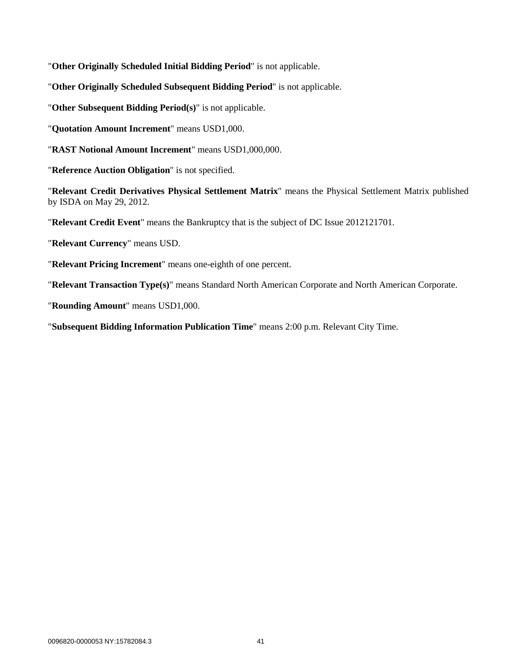"**Other Originally Scheduled Initial Bidding Period**" is not applicable.

"**Other Originally Scheduled Subsequent Bidding Period**" is not applicable.

"**Other Subsequent Bidding Period(s)**" is not applicable.

"**Quotation Amount Increment**" means USD1,000.

"**RAST Notional Amount Increment**" means USD1,000,000.

"**Reference Auction Obligation**" is not specified.

"**Relevant Credit Derivatives Physical Settlement Matrix**" means the Physical Settlement Matrix published by ISDA on May 29, 2012.

"**Relevant Credit Event**" means the Bankruptcy that is the subject of DC Issue 2012121701.

"**Relevant Currency**" means USD.

"**Relevant Pricing Increment**" means one-eighth of one percent.

"**Relevant Transaction Type(s)**" means Standard North American Corporate and North American Corporate.

"**Rounding Amount**" means USD1,000.

"**Subsequent Bidding Information Publication Time**" means 2:00 p.m. Relevant City Time.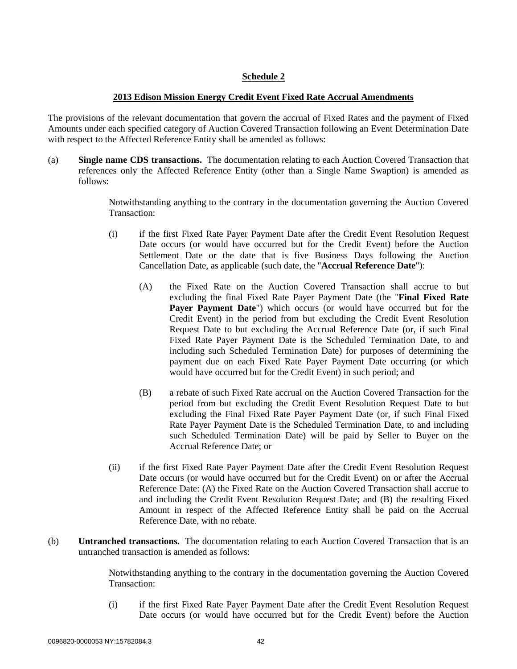# **Schedule 2**

# **2013 Edison Mission Energy Credit Event Fixed Rate Accrual Amendments**

The provisions of the relevant documentation that govern the accrual of Fixed Rates and the payment of Fixed Amounts under each specified category of Auction Covered Transaction following an Event Determination Date with respect to the Affected Reference Entity shall be amended as follows:

(a) **Single name CDS transactions.** The documentation relating to each Auction Covered Transaction that references only the Affected Reference Entity (other than a Single Name Swaption) is amended as follows:

> Notwithstanding anything to the contrary in the documentation governing the Auction Covered Transaction:

- (i) if the first Fixed Rate Payer Payment Date after the Credit Event Resolution Request Date occurs (or would have occurred but for the Credit Event) before the Auction Settlement Date or the date that is five Business Days following the Auction Cancellation Date, as applicable (such date, the "**Accrual Reference Date**"):
	- (A) the Fixed Rate on the Auction Covered Transaction shall accrue to but excluding the final Fixed Rate Payer Payment Date (the "**Final Fixed Rate Payer Payment Date**") which occurs (or would have occurred but for the Credit Event) in the period from but excluding the Credit Event Resolution Request Date to but excluding the Accrual Reference Date (or, if such Final Fixed Rate Payer Payment Date is the Scheduled Termination Date, to and including such Scheduled Termination Date) for purposes of determining the payment due on each Fixed Rate Payer Payment Date occurring (or which would have occurred but for the Credit Event) in such period; and
	- (B) a rebate of such Fixed Rate accrual on the Auction Covered Transaction for the period from but excluding the Credit Event Resolution Request Date to but excluding the Final Fixed Rate Payer Payment Date (or, if such Final Fixed Rate Payer Payment Date is the Scheduled Termination Date, to and including such Scheduled Termination Date) will be paid by Seller to Buyer on the Accrual Reference Date; or
- (ii) if the first Fixed Rate Payer Payment Date after the Credit Event Resolution Request Date occurs (or would have occurred but for the Credit Event) on or after the Accrual Reference Date: (A) the Fixed Rate on the Auction Covered Transaction shall accrue to and including the Credit Event Resolution Request Date; and (B) the resulting Fixed Amount in respect of the Affected Reference Entity shall be paid on the Accrual Reference Date, with no rebate.
- (b) **Untranched transactions.** The documentation relating to each Auction Covered Transaction that is an untranched transaction is amended as follows:

Notwithstanding anything to the contrary in the documentation governing the Auction Covered Transaction:

(i) if the first Fixed Rate Payer Payment Date after the Credit Event Resolution Request Date occurs (or would have occurred but for the Credit Event) before the Auction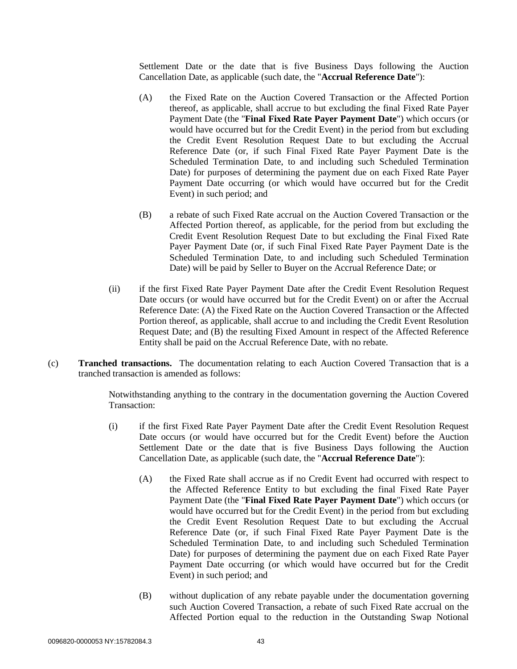Settlement Date or the date that is five Business Days following the Auction Cancellation Date, as applicable (such date, the "**Accrual Reference Date**"):

- (A) the Fixed Rate on the Auction Covered Transaction or the Affected Portion thereof, as applicable, shall accrue to but excluding the final Fixed Rate Payer Payment Date (the "**Final Fixed Rate Payer Payment Date**") which occurs (or would have occurred but for the Credit Event) in the period from but excluding the Credit Event Resolution Request Date to but excluding the Accrual Reference Date (or, if such Final Fixed Rate Payer Payment Date is the Scheduled Termination Date, to and including such Scheduled Termination Date) for purposes of determining the payment due on each Fixed Rate Payer Payment Date occurring (or which would have occurred but for the Credit Event) in such period; and
- (B) a rebate of such Fixed Rate accrual on the Auction Covered Transaction or the Affected Portion thereof, as applicable, for the period from but excluding the Credit Event Resolution Request Date to but excluding the Final Fixed Rate Payer Payment Date (or, if such Final Fixed Rate Payer Payment Date is the Scheduled Termination Date, to and including such Scheduled Termination Date) will be paid by Seller to Buyer on the Accrual Reference Date; or
- (ii) if the first Fixed Rate Payer Payment Date after the Credit Event Resolution Request Date occurs (or would have occurred but for the Credit Event) on or after the Accrual Reference Date: (A) the Fixed Rate on the Auction Covered Transaction or the Affected Portion thereof, as applicable, shall accrue to and including the Credit Event Resolution Request Date; and (B) the resulting Fixed Amount in respect of the Affected Reference Entity shall be paid on the Accrual Reference Date, with no rebate.
- (c) **Tranched transactions.** The documentation relating to each Auction Covered Transaction that is a tranched transaction is amended as follows:

Notwithstanding anything to the contrary in the documentation governing the Auction Covered Transaction:

- (i) if the first Fixed Rate Payer Payment Date after the Credit Event Resolution Request Date occurs (or would have occurred but for the Credit Event) before the Auction Settlement Date or the date that is five Business Days following the Auction Cancellation Date, as applicable (such date, the "**Accrual Reference Date**"):
	- (A) the Fixed Rate shall accrue as if no Credit Event had occurred with respect to the Affected Reference Entity to but excluding the final Fixed Rate Payer Payment Date (the "**Final Fixed Rate Payer Payment Date**") which occurs (or would have occurred but for the Credit Event) in the period from but excluding the Credit Event Resolution Request Date to but excluding the Accrual Reference Date (or, if such Final Fixed Rate Payer Payment Date is the Scheduled Termination Date, to and including such Scheduled Termination Date) for purposes of determining the payment due on each Fixed Rate Payer Payment Date occurring (or which would have occurred but for the Credit Event) in such period; and
	- (B) without duplication of any rebate payable under the documentation governing such Auction Covered Transaction, a rebate of such Fixed Rate accrual on the Affected Portion equal to the reduction in the Outstanding Swap Notional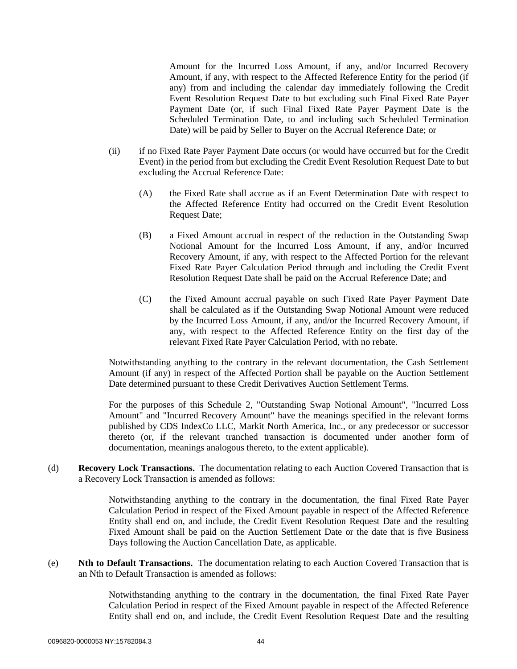Amount for the Incurred Loss Amount, if any, and/or Incurred Recovery Amount, if any, with respect to the Affected Reference Entity for the period (if any) from and including the calendar day immediately following the Credit Event Resolution Request Date to but excluding such Final Fixed Rate Payer Payment Date (or, if such Final Fixed Rate Payer Payment Date is the Scheduled Termination Date, to and including such Scheduled Termination Date) will be paid by Seller to Buyer on the Accrual Reference Date; or

- (ii) if no Fixed Rate Payer Payment Date occurs (or would have occurred but for the Credit Event) in the period from but excluding the Credit Event Resolution Request Date to but excluding the Accrual Reference Date:
	- (A) the Fixed Rate shall accrue as if an Event Determination Date with respect to the Affected Reference Entity had occurred on the Credit Event Resolution Request Date;
	- (B) a Fixed Amount accrual in respect of the reduction in the Outstanding Swap Notional Amount for the Incurred Loss Amount, if any, and/or Incurred Recovery Amount, if any, with respect to the Affected Portion for the relevant Fixed Rate Payer Calculation Period through and including the Credit Event Resolution Request Date shall be paid on the Accrual Reference Date; and
	- (C) the Fixed Amount accrual payable on such Fixed Rate Payer Payment Date shall be calculated as if the Outstanding Swap Notional Amount were reduced by the Incurred Loss Amount, if any, and/or the Incurred Recovery Amount, if any, with respect to the Affected Reference Entity on the first day of the relevant Fixed Rate Payer Calculation Period, with no rebate.

Notwithstanding anything to the contrary in the relevant documentation, the Cash Settlement Amount (if any) in respect of the Affected Portion shall be payable on the Auction Settlement Date determined pursuant to these Credit Derivatives Auction Settlement Terms.

For the purposes of this Schedule 2, "Outstanding Swap Notional Amount", "Incurred Loss Amount" and "Incurred Recovery Amount" have the meanings specified in the relevant forms published by CDS IndexCo LLC, Markit North America, Inc., or any predecessor or successor thereto (or, if the relevant tranched transaction is documented under another form of documentation, meanings analogous thereto, to the extent applicable).

(d) **Recovery Lock Transactions.** The documentation relating to each Auction Covered Transaction that is a Recovery Lock Transaction is amended as follows:

> Notwithstanding anything to the contrary in the documentation, the final Fixed Rate Payer Calculation Period in respect of the Fixed Amount payable in respect of the Affected Reference Entity shall end on, and include, the Credit Event Resolution Request Date and the resulting Fixed Amount shall be paid on the Auction Settlement Date or the date that is five Business Days following the Auction Cancellation Date, as applicable.

(e) **Nth to Default Transactions.** The documentation relating to each Auction Covered Transaction that is an Nth to Default Transaction is amended as follows:

> Notwithstanding anything to the contrary in the documentation, the final Fixed Rate Payer Calculation Period in respect of the Fixed Amount payable in respect of the Affected Reference Entity shall end on, and include, the Credit Event Resolution Request Date and the resulting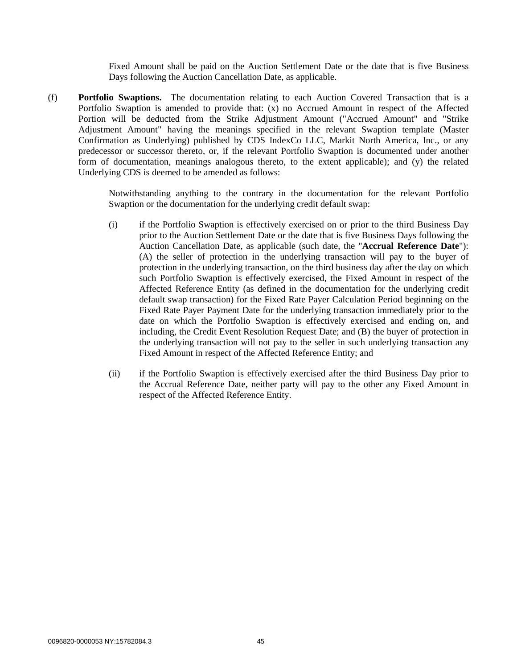Fixed Amount shall be paid on the Auction Settlement Date or the date that is five Business Days following the Auction Cancellation Date, as applicable.

(f) **Portfolio Swaptions.** The documentation relating to each Auction Covered Transaction that is a Portfolio Swaption is amended to provide that: (x) no Accrued Amount in respect of the Affected Portion will be deducted from the Strike Adjustment Amount ("Accrued Amount" and "Strike Adjustment Amount" having the meanings specified in the relevant Swaption template (Master Confirmation as Underlying) published by CDS IndexCo LLC, Markit North America, Inc., or any predecessor or successor thereto, or, if the relevant Portfolio Swaption is documented under another form of documentation, meanings analogous thereto, to the extent applicable); and (y) the related Underlying CDS is deemed to be amended as follows:

> Notwithstanding anything to the contrary in the documentation for the relevant Portfolio Swaption or the documentation for the underlying credit default swap:

- (i) if the Portfolio Swaption is effectively exercised on or prior to the third Business Day prior to the Auction Settlement Date or the date that is five Business Days following the Auction Cancellation Date, as applicable (such date, the "**Accrual Reference Date**"): (A) the seller of protection in the underlying transaction will pay to the buyer of protection in the underlying transaction, on the third business day after the day on which such Portfolio Swaption is effectively exercised, the Fixed Amount in respect of the Affected Reference Entity (as defined in the documentation for the underlying credit default swap transaction) for the Fixed Rate Payer Calculation Period beginning on the Fixed Rate Payer Payment Date for the underlying transaction immediately prior to the date on which the Portfolio Swaption is effectively exercised and ending on, and including, the Credit Event Resolution Request Date; and (B) the buyer of protection in the underlying transaction will not pay to the seller in such underlying transaction any Fixed Amount in respect of the Affected Reference Entity; and
- (ii) if the Portfolio Swaption is effectively exercised after the third Business Day prior to the Accrual Reference Date, neither party will pay to the other any Fixed Amount in respect of the Affected Reference Entity.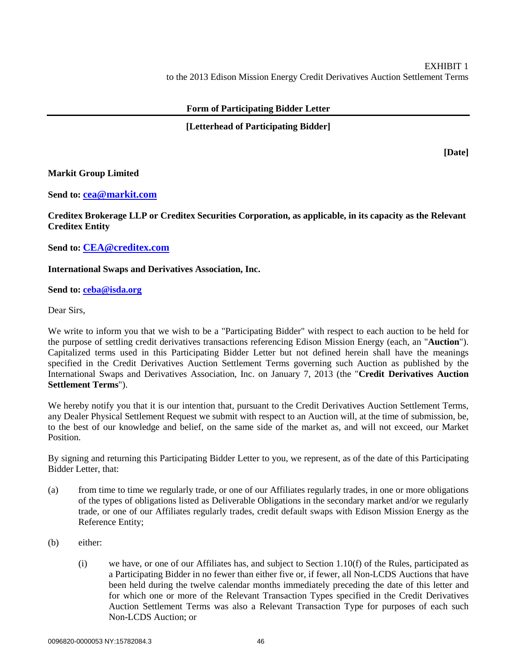# **Form of Participating Bidder Letter**

# **[Letterhead of Participating Bidder]**

**[Date]**

# **Markit Group Limited**

# **Send to: [cea@markit.com](mailto:cea@markit.com)**

**Creditex Brokerage LLP or Creditex Securities Corporation, as applicable, in its capacity as the Relevant Creditex Entity**

**Send to: [CEA@creditex.com](mailto:CEA@creditex.com)**

# **International Swaps and Derivatives Association, Inc.**

# **Send to: [ceba@isda.org](mailto:DCSecretary@isda.org)**

Dear Sirs,

We write to inform you that we wish to be a "Participating Bidder" with respect to each auction to be held for the purpose of settling credit derivatives transactions referencing Edison Mission Energy (each, an "**Auction**"). Capitalized terms used in this Participating Bidder Letter but not defined herein shall have the meanings specified in the Credit Derivatives Auction Settlement Terms governing such Auction as published by the International Swaps and Derivatives Association, Inc. on January 7, 2013 (the "**Credit Derivatives Auction Settlement Terms**").

We hereby notify you that it is our intention that, pursuant to the Credit Derivatives Auction Settlement Terms, any Dealer Physical Settlement Request we submit with respect to an Auction will, at the time of submission, be, to the best of our knowledge and belief, on the same side of the market as, and will not exceed, our Market Position.

By signing and returning this Participating Bidder Letter to you, we represent, as of the date of this Participating Bidder Letter, that:

- (a) from time to time we regularly trade, or one of our Affiliates regularly trades, in one or more obligations of the types of obligations listed as Deliverable Obligations in the secondary market and/or we regularly trade, or one of our Affiliates regularly trades, credit default swaps with Edison Mission Energy as the Reference Entity;
- (b) either:
	- (i) we have, or one of our Affiliates has, and subject to Section 1.10(f) of the Rules, participated as a Participating Bidder in no fewer than either five or, if fewer, all Non-LCDS Auctions that have been held during the twelve calendar months immediately preceding the date of this letter and for which one or more of the Relevant Transaction Types specified in the Credit Derivatives Auction Settlement Terms was also a Relevant Transaction Type for purposes of each such Non-LCDS Auction; or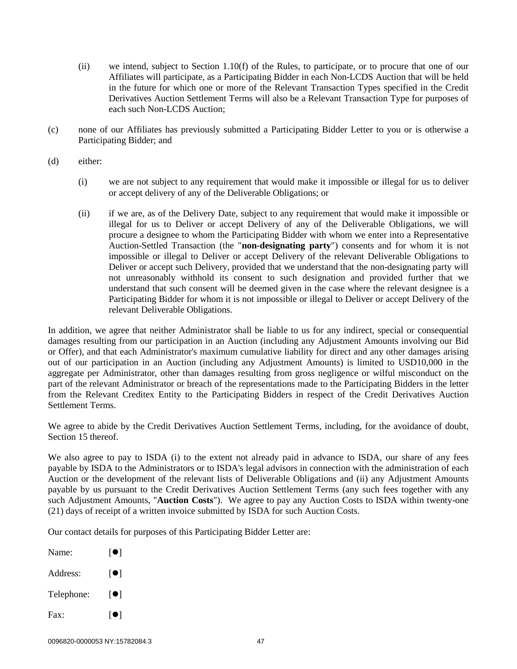- (ii) we intend, subject to Section 1.10(f) of the Rules, to participate, or to procure that one of our Affiliates will participate, as a Participating Bidder in each Non-LCDS Auction that will be held in the future for which one or more of the Relevant Transaction Types specified in the Credit Derivatives Auction Settlement Terms will also be a Relevant Transaction Type for purposes of each such Non-LCDS Auction;
- (c) none of our Affiliates has previously submitted a Participating Bidder Letter to you or is otherwise a Participating Bidder; and
- (d) either:
	- (i) we are not subject to any requirement that would make it impossible or illegal for us to deliver or accept delivery of any of the Deliverable Obligations; or
	- (ii) if we are, as of the Delivery Date, subject to any requirement that would make it impossible or illegal for us to Deliver or accept Delivery of any of the Deliverable Obligations, we will procure a designee to whom the Participating Bidder with whom we enter into a Representative Auction-Settled Transaction (the "**non-designating party**") consents and for whom it is not impossible or illegal to Deliver or accept Delivery of the relevant Deliverable Obligations to Deliver or accept such Delivery, provided that we understand that the non-designating party will not unreasonably withhold its consent to such designation and provided further that we understand that such consent will be deemed given in the case where the relevant designee is a Participating Bidder for whom it is not impossible or illegal to Deliver or accept Delivery of the relevant Deliverable Obligations.

In addition, we agree that neither Administrator shall be liable to us for any indirect, special or consequential damages resulting from our participation in an Auction (including any Adjustment Amounts involving our Bid or Offer), and that each Administrator's maximum cumulative liability for direct and any other damages arising out of our participation in an Auction (including any Adjustment Amounts) is limited to USD10,000 in the aggregate per Administrator, other than damages resulting from gross negligence or wilful misconduct on the part of the relevant Administrator or breach of the representations made to the Participating Bidders in the letter from the Relevant Creditex Entity to the Participating Bidders in respect of the Credit Derivatives Auction Settlement Terms.

We agree to abide by the Credit Derivatives Auction Settlement Terms, including, for the avoidance of doubt, Section 15 thereof.

We also agree to pay to ISDA (i) to the extent not already paid in advance to ISDA, our share of any fees payable by ISDA to the Administrators or to ISDA's legal advisors in connection with the administration of each Auction or the development of the relevant lists of Deliverable Obligations and (ii) any Adjustment Amounts payable by us pursuant to the Credit Derivatives Auction Settlement Terms (any such fees together with any such Adjustment Amounts, "**Auction Costs**"). We agree to pay any Auction Costs to ISDA within twenty-one (21) days of receipt of a written invoice submitted by ISDA for such Auction Costs.

Our contact details for purposes of this Participating Bidder Letter are:

Name:  $[\bullet]$ Address:  $[$   $]$ Telephone:  $[\bullet]$ Fax:  $\lceil \bullet \rceil$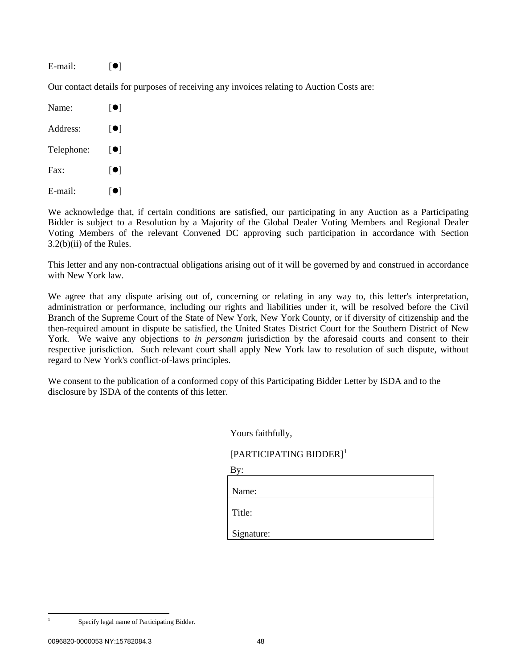#### E-mail:  $[\bullet]$

Our contact details for purposes of receiving any invoices relating to Auction Costs are:

| Name:         | [0]                     |
|---------------|-------------------------|
| Address:      | $\left[\bullet\right]$  |
| Telephone:    | $\lceil \bullet \rceil$ |
| $\text{Fax}:$ | $\lceil \bullet \rceil$ |
| E-mail:       | ●                       |

We acknowledge that, if certain conditions are satisfied, our participating in any Auction as a Participating Bidder is subject to a Resolution by a Majority of the Global Dealer Voting Members and Regional Dealer Voting Members of the relevant Convened DC approving such participation in accordance with Section 3.2(b)(ii) of the Rules.

This letter and any non-contractual obligations arising out of it will be governed by and construed in accordance with New York law.

We agree that any dispute arising out of, concerning or relating in any way to, this letter's interpretation, administration or performance, including our rights and liabilities under it, will be resolved before the Civil Branch of the Supreme Court of the State of New York, New York County, or if diversity of citizenship and the then-required amount in dispute be satisfied, the United States District Court for the Southern District of New York. We waive any objections to *in personam* jurisdiction by the aforesaid courts and consent to their respective jurisdiction. Such relevant court shall apply New York law to resolution of such dispute, without regard to New York's conflict-of-laws principles.

We consent to the publication of a conformed copy of this Participating Bidder Letter by ISDA and to the disclosure by ISDA of the contents of this letter.

Yours faithfully,

# [PARTICIPATING BIDDER]<sup>[1](#page-47-0)</sup>

| Name:      |  |  |
|------------|--|--|
| Title:     |  |  |
| Signature: |  |  |

<span id="page-47-0"></span>

 <sup>1</sup> Specify legal name of Participating Bidder.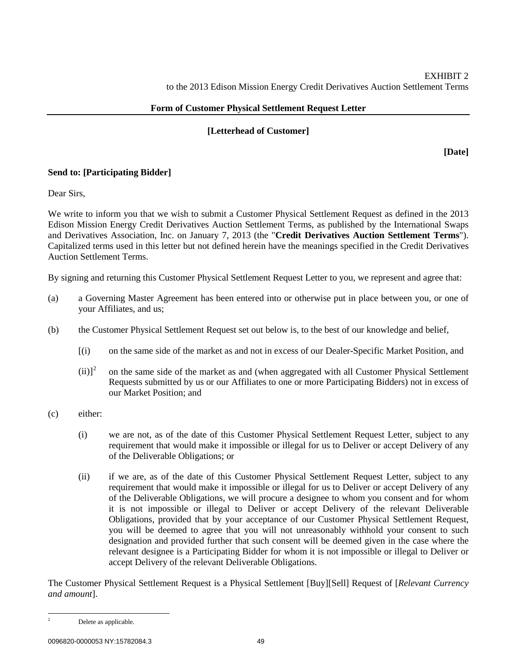# **Form of Customer Physical Settlement Request Letter**

# **[Letterhead of Customer]**

**[Date]**

# **Send to: [Participating Bidder]**

Dear Sirs,

We write to inform you that we wish to submit a Customer Physical Settlement Request as defined in the 2013 Edison Mission Energy Credit Derivatives Auction Settlement Terms, as published by the International Swaps and Derivatives Association, Inc. on January 7, 2013 (the "**Credit Derivatives Auction Settlement Terms**"). Capitalized terms used in this letter but not defined herein have the meanings specified in the Credit Derivatives Auction Settlement Terms.

By signing and returning this Customer Physical Settlement Request Letter to you, we represent and agree that:

- (a) a Governing Master Agreement has been entered into or otherwise put in place between you, or one of your Affiliates, and us;
- (b) the Customer Physical Settlement Request set out below is, to the best of our knowledge and belief,
	- [(i) on the same side of the market as and not in excess of our Dealer-Specific Market Position, and
	- $(ii)<sup>2</sup>$  $(ii)<sup>2</sup>$  $(ii)<sup>2</sup>$  on the same side of the market as and (when aggregated with all Customer Physical Settlement Requests submitted by us or our Affiliates to one or more Participating Bidders) not in excess of our Market Position; and
- (c) either:
	- (i) we are not, as of the date of this Customer Physical Settlement Request Letter, subject to any requirement that would make it impossible or illegal for us to Deliver or accept Delivery of any of the Deliverable Obligations; or
	- (ii) if we are, as of the date of this Customer Physical Settlement Request Letter, subject to any requirement that would make it impossible or illegal for us to Deliver or accept Delivery of any of the Deliverable Obligations, we will procure a designee to whom you consent and for whom it is not impossible or illegal to Deliver or accept Delivery of the relevant Deliverable Obligations, provided that by your acceptance of our Customer Physical Settlement Request, you will be deemed to agree that you will not unreasonably withhold your consent to such designation and provided further that such consent will be deemed given in the case where the relevant designee is a Participating Bidder for whom it is not impossible or illegal to Deliver or accept Delivery of the relevant Deliverable Obligations.

The Customer Physical Settlement Request is a Physical Settlement [Buy][Sell] Request of [*Relevant Currency and amount*].

<span id="page-48-0"></span><sup>&</sup>lt;sup>2</sup> Delete as applicable.

<sup>0096820-0000053</sup> NY:15782084.3 49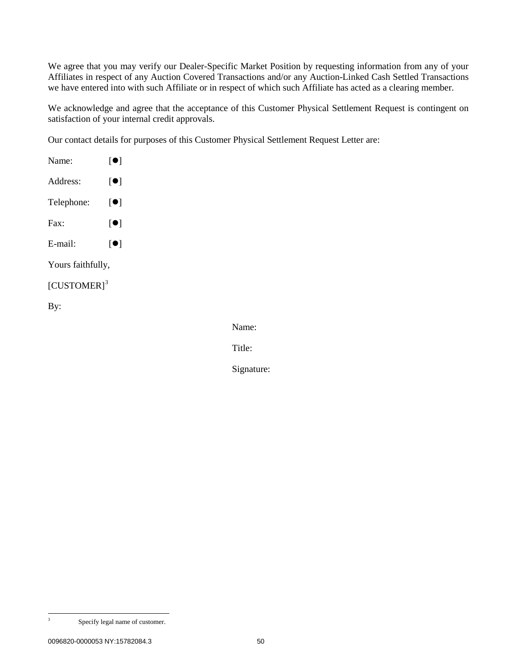We agree that you may verify our Dealer-Specific Market Position by requesting information from any of your Affiliates in respect of any Auction Covered Transactions and/or any Auction-Linked Cash Settled Transactions we have entered into with such Affiliate or in respect of which such Affiliate has acted as a clearing member.

We acknowledge and agree that the acceptance of this Customer Physical Settlement Request is contingent on satisfaction of your internal credit approvals.

Our contact details for purposes of this Customer Physical Settlement Request Letter are:

| Name:                     | $\lceil \bullet \rceil$ |  |  |
|---------------------------|-------------------------|--|--|
| Address:                  | $\lceil \bullet \rceil$ |  |  |
| Telephone:                | $\lceil \bullet \rceil$ |  |  |
| Fax:                      | $\lceil \bullet \rceil$ |  |  |
| E-mail:                   | $\lceil \bullet \rceil$ |  |  |
| Yours faithfully,         |                         |  |  |
| $[CUSTOMER]$ <sup>3</sup> |                         |  |  |
| By:                       |                         |  |  |

Name:

Title:

Signature:

<span id="page-49-0"></span> <sup>3</sup> Specify legal name of customer.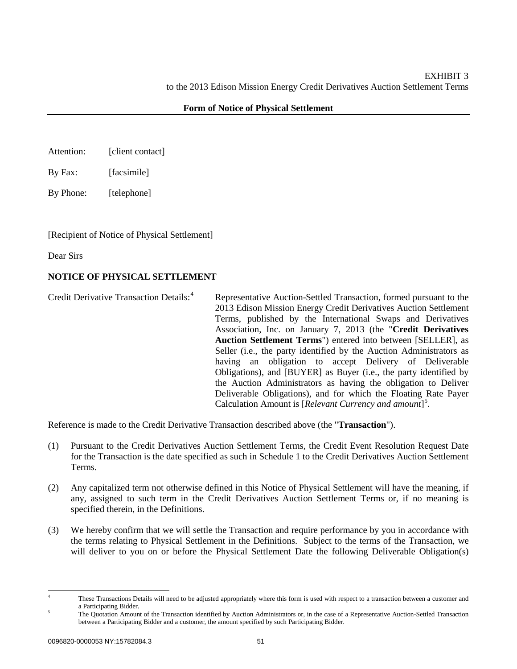- Attention: [client contact]
- By Fax: [facsimile]
- By Phone: [telephone]

[Recipient of Notice of Physical Settlement]

Dear Sirs

# **NOTICE OF PHYSICAL SETTLEMENT**

Credit Derivative Transaction Details:<sup>[4](#page-50-0)</sup> Representative Auction-Settled Transaction, formed pursuant to the 2013 Edison Mission Energy Credit Derivatives Auction Settlement Terms, published by the International Swaps and Derivatives Association, Inc. on January 7, 2013 (the "**Credit Derivatives Auction Settlement Terms**") entered into between [SELLER], as Seller (i.e., the party identified by the Auction Administrators as having an obligation to accept Delivery of Deliverable Obligations), and [BUYER] as Buyer (i.e., the party identified by the Auction Administrators as having the obligation to Deliver Deliverable Obligations), and for which the Floating Rate Payer Calculation Amount is [*Relevant Currency and amount*] [5](#page-50-1) .

Reference is made to the Credit Derivative Transaction described above (the "**Transaction**").

- (1) Pursuant to the Credit Derivatives Auction Settlement Terms, the Credit Event Resolution Request Date for the Transaction is the date specified as such in Schedule 1 to the Credit Derivatives Auction Settlement Terms.
- (2) Any capitalized term not otherwise defined in this Notice of Physical Settlement will have the meaning, if any, assigned to such term in the Credit Derivatives Auction Settlement Terms or, if no meaning is specified therein, in the Definitions.
- (3) We hereby confirm that we will settle the Transaction and require performance by you in accordance with the terms relating to Physical Settlement in the Definitions. Subject to the terms of the Transaction, we will deliver to you on or before the Physical Settlement Date the following Deliverable Obligation(s)

<span id="page-50-0"></span>

<sup>&</sup>lt;sup>4</sup> These Transactions Details will need to be adjusted appropriately where this form is used with respect to a transaction between a customer and a Participating Bidder.

<span id="page-50-1"></span><sup>&</sup>lt;sup>5</sup> The Quotation Amount of the Transaction identified by Auction Administrators or, in the case of a Representative Auction-Settled Transaction between a Participating Bidder and a customer, the amount specified by such Participating Bidder.